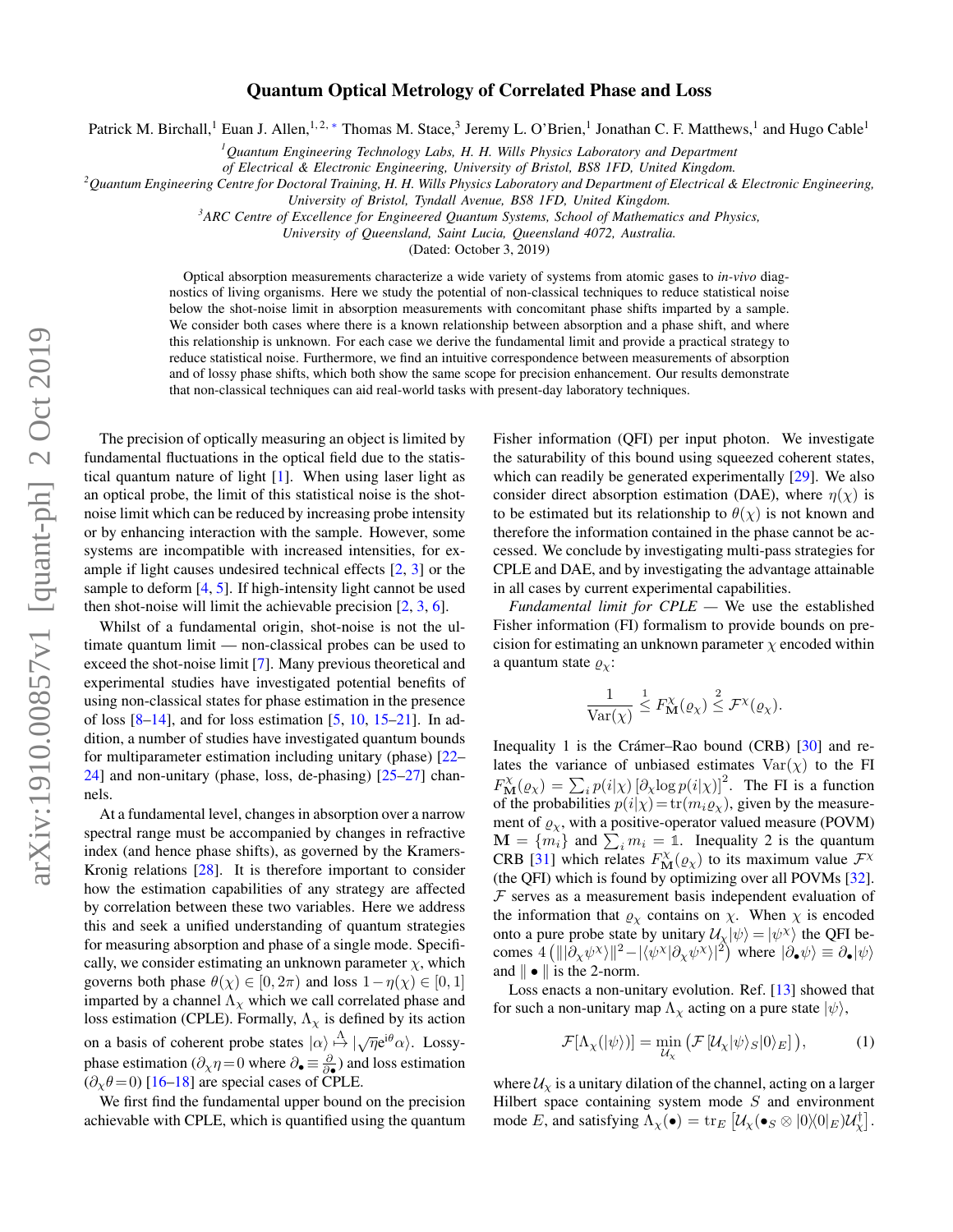# Quantum Optical Metrology of Correlated Phase and Loss

Patrick M. Birchall,<sup>1</sup> Euan J. Allen,<sup>1,2,\*</sup> Thomas M. Stace,<sup>3</sup> Jeremy L. O'Brien,<sup>1</sup> Jonathan C. F. Matthews,<sup>1</sup> and Hugo Cable<sup>1</sup>

*<sup>1</sup>Quantum Engineering Technology Labs, H. H. Wills Physics Laboratory and Department*

*of Electrical & Electronic Engineering, University of Bristol, BS8 1FD, United Kingdom.*

*<sup>2</sup>Quantum Engineering Centre for Doctoral Training, H. H. Wills Physics Laboratory and Department of Electrical & Electronic Engineering,*

*University of Bristol, Tyndall Avenue, BS8 1FD, United Kingdom.*

*<sup>3</sup>ARC Centre of Excellence for Engineered Quantum Systems, School of Mathematics and Physics,*

*University of Queensland, Saint Lucia, Queensland 4072, Australia.*

(Dated: October 3, 2019)

Optical absorption measurements characterize a wide variety of systems from atomic gases to *in-vivo* diagnostics of living organisms. Here we study the potential of non-classical techniques to reduce statistical noise below the shot-noise limit in absorption measurements with concomitant phase shifts imparted by a sample. We consider both cases where there is a known relationship between absorption and a phase shift, and where this relationship is unknown. For each case we derive the fundamental limit and provide a practical strategy to reduce statistical noise. Furthermore, we find an intuitive correspondence between measurements of absorption and of lossy phase shifts, which both show the same scope for precision enhancement. Our results demonstrate that non-classical techniques can aid real-world tasks with present-day laboratory techniques.

The precision of optically measuring an object is limited by fundamental fluctuations in the optical field due to the statistical quantum nature of light [\[1\]](#page-4-1). When using laser light as an optical probe, the limit of this statistical noise is the shotnoise limit which can be reduced by increasing probe intensity or by enhancing interaction with the sample. However, some systems are incompatible with increased intensities, for example if light causes undesired technical effects [\[2,](#page-4-2) [3\]](#page-4-3) or the sample to deform [\[4,](#page-4-4) [5\]](#page-4-5). If high-intensity light cannot be used then shot-noise will limit the achievable precision  $[2, 3, 6]$  $[2, 3, 6]$  $[2, 3, 6]$  $[2, 3, 6]$  $[2, 3, 6]$ .

Whilst of a fundamental origin, shot-noise is not the ultimate quantum limit — non-classical probes can be used to exceed the shot-noise limit [\[7\]](#page-4-7). Many previous theoretical and experimental studies have investigated potential benefits of using non-classical states for phase estimation in the presence of loss  $[8-14]$  $[8-14]$ , and for loss estimation  $[5, 10, 15-21]$  $[5, 10, 15-21]$  $[5, 10, 15-21]$  $[5, 10, 15-21]$  $[5, 10, 15-21]$ . In addition, a number of studies have investigated quantum bounds for multiparameter estimation including unitary (phase) [\[22–](#page-4-13) [24\]](#page-4-14) and non-unitary (phase, loss, de-phasing) [\[25](#page-4-15)[–27\]](#page-4-16) channels.

At a fundamental level, changes in absorption over a narrow spectral range must be accompanied by changes in refractive index (and hence phase shifts), as governed by the Kramers-Kronig relations [\[28\]](#page-4-17). It is therefore important to consider how the estimation capabilities of any strategy are affected by correlation between these two variables. Here we address this and seek a unified understanding of quantum strategies for measuring absorption and phase of a single mode. Specifically, we consider estimating an unknown parameter  $\chi$ , which governs both phase  $\theta(\chi) \in [0, 2\pi)$  and loss  $1 - \eta(\chi) \in [0, 1]$ imparted by a channel  $\Lambda_{\chi}$  which we call correlated phase and loss estimation (CPLE). Formally,  $\Lambda_{\chi}$  is defined by its action on a basis of coherent probe states  $|\alpha\rangle \stackrel{\Lambda}{\mapsto} |\sqrt{\eta}e^{i\theta}\alpha\rangle$ . Lossyphase estimation  $(\partial_\chi \eta = 0$  where  $\partial_\bullet \equiv \frac{\partial}{\partial \bullet}$  and loss estimation  $(\partial_{\chi}\theta = 0)$  [\[16](#page-4-18)[–18\]](#page-4-19) are special cases of CPLE.

We first find the fundamental upper bound on the precision achievable with CPLE, which is quantified using the quantum

Fisher information (QFI) per input photon. We investigate the saturability of this bound using squeezed coherent states, which can readily be generated experimentally [\[29\]](#page-4-20). We also consider direct absorption estimation (DAE), where  $\eta(\chi)$  is to be estimated but its relationship to  $\theta(\chi)$  is not known and therefore the information contained in the phase cannot be accessed. We conclude by investigating multi-pass strategies for CPLE and DAE, and by investigating the advantage attainable in all cases by current experimental capabilities.

*Fundamental limit for CPLE —* We use the established Fisher information (FI) formalism to provide bounds on precision for estimating an unknown parameter  $\chi$  encoded within a quantum state  $\rho_{\chi}$ :

$$
\frac{1}{\text{Var}(\chi)} \stackrel{1}{\leq} F_{\mathbf{M}}^{\chi}(\varrho_{\chi}) \stackrel{2}{\leq} \mathcal{F}^{\chi}(\varrho_{\chi}).
$$

Inequality 1 is the Crámer–Rao bound  $(CRB)$  [[30\]](#page-4-21) and relates the variance of unbiased estimates  $Var(\chi)$  to the FI  $F_{\mathbf{M}}^{\chi}(\varrho_{\chi}) = \sum_{i} p(i|\chi) [\partial_{\chi} \log p(i|\chi)]^{2}$ . The FI is a function of the probabilities  $p(i|\chi) = \text{tr}(m_i \varrho_\chi)$ , given by the measurement of  $\varrho_X$ , with a positive-operator valued measure (POVM)  $\mathbf{M} = \{m_i\}$  and  $\sum_i m_i = 1$ . Inequality 2 is the quantum CRB [\[31\]](#page-4-22) which relates  $F_{\mathbf{M}}^{\chi}(\varrho_{\chi})$  to its maximum value  $\mathcal{F}^{\chi}$ (the QFI) which is found by optimizing over all POVMs [\[32\]](#page-4-23).  $F$  serves as a measurement basis independent evaluation of the information that  $\varrho_{\chi}$  contains on  $\chi$ . When  $\chi$  is encoded onto a pure probe state by unitary  $\mathcal{U}_{\chi}|\psi\rangle = |\psi^{\chi}\rangle$  the QFI becomes  $4 (|||\partial_{x} \psi^{x} \rangle||^{2} - |\langle \psi^{x} | \partial_{x} \psi^{x} \rangle|^{2})$  where  $|\partial_{\bullet} \psi \rangle \equiv \partial_{\bullet} |\psi \rangle$ and  $\|\bullet\|$  is the 2-norm.

Loss enacts a non-unitary evolution. Ref. [\[13\]](#page-4-24) showed that for such a non-unitary map  $\Lambda_{\chi}$  acting on a pure state  $|\psi\rangle$ ,

<span id="page-0-0"></span>
$$
\mathcal{F}[\Lambda_{\chi}(|\psi\rangle)] = \min_{\mathcal{U}_{\chi}} (\mathcal{F}[\mathcal{U}_{\chi}|\psi\rangle_{S}|0\rangle_{E}]), \tag{1}
$$

where  $\mathcal{U}_\chi$  is a unitary dilation of the channel, acting on a larger Hilbert space containing system mode  $S$  and environment mode E, and satisfying  $\Lambda_{\chi}(\bullet) = \text{tr}_E \left[ \mathcal{U}_{\chi}(\bullet_S \otimes |0\rangle\langle 0|_E) \mathcal{U}_{\chi}^{\dagger} \right]$ .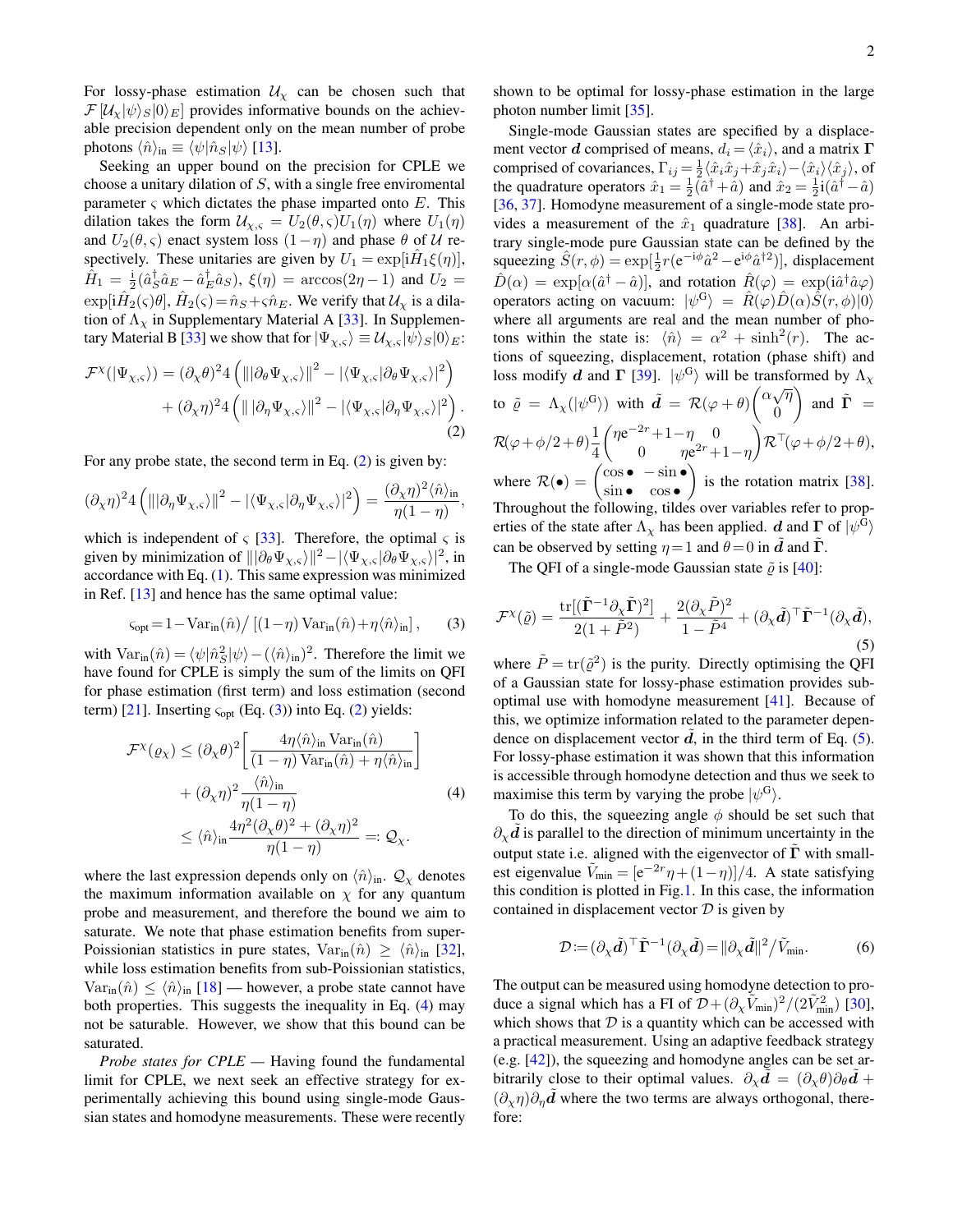For lossy-phase estimation  $U_x$  can be chosen such that  $\mathcal{F}[\mathcal{U}_{\chi}|\psi\rangle_{S}|0\rangle_{E}]$  provides informative bounds on the achievable precision dependent only on the mean number of probe photons  $\langle \hat{n} \rangle_{\text{in}} \equiv \langle \psi | \hat{n}_S | \psi \rangle$  [\[13\]](#page-4-24).

Seeking an upper bound on the precision for CPLE we choose a unitary dilation of S, with a single free enviromental parameter  $\varsigma$  which dictates the phase imparted onto E. This dilation takes the form  $U_{\chi,s} = U_2(\theta,s)U_1(\eta)$  where  $U_1(\eta)$ and  $U_2(\theta, \varsigma)$  enact system loss  $(1 - \eta)$  and phase  $\theta$  of U respectively. These unitaries are given by  $U_1 = \exp[i\hat{H}_1\xi(\eta)],$  $\hat{H}_1 = \frac{1}{2} (\hat{a}_S^{\dagger} \hat{a}_E - \hat{a}_E^{\dagger} \hat{a}_S), \; \xi(\eta) = \arccos(2\eta - 1)$  and  $U_2 =$  $\exp[i\hat{H}_2(\varsigma)\theta], \hat{H}_2(\varsigma) = \hat{n}_S + \varsigma \hat{n}_E.$  We verify that  $\mathcal{U}_\chi$  is a dilation of  $\Lambda_{\chi}$  in Supplementary Material A [\[33\]](#page-4-25). In Supplemen-tary Material B [\[33\]](#page-4-25) we show that for  $|\Psi_{\chi,\varsigma}\rangle \equiv \mathcal{U}_{\chi,\varsigma} |\psi\rangle_S |0\rangle_E$ :

<span id="page-1-0"></span>
$$
\mathcal{F}^{\chi}(|\Psi_{\chi,\varsigma}\rangle) = (\partial_{\chi}\theta)^{2}4 \left( \|\partial_{\theta}\Psi_{\chi,\varsigma}\rangle\|^{2} - |\langle\Psi_{\chi,\varsigma}|\partial_{\theta}\Psi_{\chi,\varsigma}\rangle|^{2} \right) + (\partial_{\chi}\eta)^{2}4 \left( \|\|\partial_{\eta}\Psi_{\chi,\varsigma}\rangle\|^{2} - |\langle\Psi_{\chi,\varsigma}|\partial_{\eta}\Psi_{\chi,\varsigma}\rangle|^{2} \right).
$$
\n(2)

For any probe state, the second term in Eq. [\(2\)](#page-1-0) is given by:

<span id="page-1-1"></span>
$$
(\partial_{\chi}\eta)^2 4 \left( \|\partial_{\eta}\Psi_{\chi,\varsigma}\rangle\|^2 - |\langle \Psi_{\chi,\varsigma}|\partial_{\eta}\Psi_{\chi,\varsigma}\rangle|^2 \right) = \frac{(\partial_{\chi}\eta)^2 \langle \hat{n} \rangle_{\text{in}}}{\eta(1-\eta)},
$$

which is independent of  $\zeta$  [\[33\]](#page-4-25). Therefore, the optimal  $\zeta$  is given by minimization of  $\|\partial_\theta \Psi_{\chi,\varsigma}\rangle\|^2 - |\langle \Psi_{\chi,\varsigma}|\partial_\theta \Psi_{\chi,\varsigma}\rangle|^2$ , in accordance with Eq. [\(1\)](#page-0-0). This same expression was minimized in Ref. [\[13\]](#page-4-24) and hence has the same optimal value:

$$
\varsigma_{\rm opt} = 1 - \text{Var}_{\rm in}(\hat{n}) / \left[ (1 - \eta) \, \text{Var}_{\rm in}(\hat{n}) + \eta \langle \hat{n} \rangle_{\rm in} \right],\tag{3}
$$

with  $\text{Var}_{\text{in}}(\hat{n}) = \langle \psi | \hat{n}_S^2 | \psi \rangle - (\langle \hat{n} \rangle_{\text{in}})^2$ . Therefore the limit we have found for CPLE is simply the sum of the limits on QFI for phase estimation (first term) and loss estimation (second term) [\[21\]](#page-4-12). Inserting  $\varsigma_{opt}$  (Eq. [\(3\)](#page-1-1)) into Eq. [\(2\)](#page-1-0) yields:

<span id="page-1-2"></span>
$$
\mathcal{F}^{\chi}(\varrho_{\chi}) \leq (\partial_{\chi} \theta)^{2} \left[ \frac{4\eta \langle \hat{n} \rangle_{\text{in}} \text{Var}_{\text{in}}(\hat{n})}{(1-\eta) \text{Var}_{\text{in}}(\hat{n}) + \eta \langle \hat{n} \rangle_{\text{in}}} \right] + (\partial_{\chi} \eta)^{2} \frac{\langle \hat{n} \rangle_{\text{in}}}{\eta(1-\eta)} \tag{4}
$$

$$
\leq \langle \hat{n} \rangle_{\text{in}} \frac{4\eta^{2} (\partial_{\chi} \theta)^{2} + (\partial_{\chi} \eta)^{2}}{\eta(1-\eta)} =: \mathcal{Q}_{\chi}.
$$

where the last expression depends only on  $\langle \hat{n} \rangle_{\text{in}}$ .  $\mathcal{Q}_{\chi}$  denotes the maximum information available on  $\chi$  for any quantum probe and measurement, and therefore the bound we aim to saturate. We note that phase estimation benefits from super-Poissionian statistics in pure states,  $Var_{in}(\hat{n}) \geq \langle \hat{n} \rangle_{in}$  [\[32\]](#page-4-23), while loss estimation benefits from sub-Poissionian statistics,  $Var_{in}(\hat{n}) \leq \langle \hat{n} \rangle_{in}$  [\[18\]](#page-4-19) — however, a probe state cannot have both properties. This suggests the inequality in Eq. [\(4\)](#page-1-2) may not be saturable. However, we show that this bound can be saturated.

*Probe states for CPLE —* Having found the fundamental limit for CPLE, we next seek an effective strategy for experimentally achieving this bound using single-mode Gaussian states and homodyne measurements. These were recently

shown to be optimal for lossy-phase estimation in the large photon number limit [\[35\]](#page-5-0).

Single-mode Gaussian states are specified by a displacement vector d comprised of means,  $d_i = \langle \hat{x}_i \rangle$ , and a matrix  $\Gamma$ comprised of covariances,  $\Gamma_{ij} = \frac{1}{2} \langle \hat{x}_i \hat{x}_j + \hat{x}_j \hat{x}_i \rangle - \langle \hat{x}_i \rangle \langle \hat{x}_j \rangle$ , of the quadrature operators  $\hat{x}_1 = \frac{1}{2}(\hat{a}^\dagger + \hat{a})$  and  $\hat{x}_2 = \frac{1}{2}i(\hat{a}^\dagger - \hat{a})$ [\[36,](#page-5-1) [37\]](#page-5-2). Homodyne measurement of a single-mode state provides a measurement of the  $\hat{x}_1$  quadrature [\[38\]](#page-5-3). An arbitrary single-mode pure Gaussian state can be defined by the squeezing  $\hat{S}(r,\phi) = \exp[\frac{1}{2}r(e^{-i\phi}\hat{a}^2 - e^{i\phi}\hat{a}^{\dagger 2})]$ , displacement  $\hat{D}(\alpha) = \exp[\alpha(\hat{a}^{\dagger} - \hat{a})],$  and rotation  $\hat{R}(\varphi) = \exp(i\hat{a}^{\dagger}\hat{a}\varphi)$ operators acting on vacuum:  $|\psi^G\rangle = \hat{R}(\varphi)\hat{D}(\alpha)\hat{S}(r,\phi)|0\rangle$ where all arguments are real and the mean number of photons within the state is:  $\langle \hat{n} \rangle = \alpha^2 + \sinh^2(r)$ . The actions of squeezing, displacement, rotation (phase shift) and loss modify d and  $\Gamma$  [\[39\]](#page-5-4).  $|\psi^G\rangle$  will be transformed by  $\Lambda_{\chi}$ to  $\tilde{\varrho} = \Lambda_{\chi}(|\psi^G\rangle)$  with  $\tilde{d} = \mathcal{R}(\varphi + \theta) \begin{pmatrix} \alpha \sqrt{\eta} \\ 0 \end{pmatrix}$ 0 ) and  $\tilde{\mathbf{\Gamma}}$  =  $\mathcal{R}(\varphi+\phi/2+\theta)\frac{1}{4}$ 4  $\int \eta e^{-2r} + 1 - \eta_0$  0 0  $\eta e^{2r}+1-\eta$  $\bigg\}\mathcal{R}^\top\!(\varphi+\phi/2+\theta),$ where  $\mathcal{R}(\bullet) = \begin{pmatrix} \cos \bullet & -\sin \bullet \\ \sin \bullet & \cos \bullet \end{pmatrix}$  $\sin \bullet \quad \cos \bullet$ ) is the rotation matrix  $[38]$ . Throughout the following, tildes over variables refer to prop-

erties of the state after  $\Lambda_{\chi}$  has been applied.  $d$  and  $\Gamma$  of  $|\psi^{\text{G}}\rangle$ can be observed by setting  $\eta = 1$  and  $\theta = 0$  in  $\vec{d}$  and  $\vec{\Gamma}$ .

The QFI of a single-mode Gaussian state  $\tilde{\rho}$  is [\[40\]](#page-5-5):

<span id="page-1-3"></span>
$$
\mathcal{F}^{\chi}(\tilde{\varrho}) = \frac{\text{tr}[(\tilde{\mathbf{\Gamma}}^{-1}\partial_{\chi}\tilde{\mathbf{\Gamma}})^{2}]}{2(1+\tilde{P}^{2})} + \frac{2(\partial_{\chi}\tilde{P})^{2}}{1-\tilde{P}^{4}} + (\partial_{\chi}\tilde{d})^{\top}\tilde{\mathbf{\Gamma}}^{-1}(\partial_{\chi}\tilde{d}),
$$
\n(5)

where  $\tilde{P} = \text{tr}(\tilde{\varrho}^2)$  is the purity. Directly optimising the QFI of a Gaussian state for lossy-phase estimation provides suboptimal use with homodyne measurement [\[41\]](#page-5-6). Because of this, we optimize information related to the parameter dependence on displacement vector  $d$ , in the third term of Eq. [\(5\)](#page-1-3). For lossy-phase estimation it was shown that this information is accessible through homodyne detection and thus we seek to maximise this term by varying the probe  $|\psi^G\rangle$ .

To do this, the squeezing angle  $\phi$  should be set such that  $\partial_{\chi}d$  is parallel to the direction of minimum uncertainty in the output state i.e. aligned with the eigenvector of  $\Gamma$  with smallest eigenvalue  $\tilde{V}_{\text{min}} = \frac{[e^{-2r}\eta + (1-\eta)]}{4}$ . A state satisfying this condition is plotted in Fig[.1.](#page-2-0) In this case, the information contained in displacement vector  $D$  is given by

<span id="page-1-4"></span>
$$
\mathcal{D} := (\partial_{\chi} \tilde{\mathbf{d}})^{\top} \tilde{\mathbf{\Gamma}}^{-1} (\partial_{\chi} \tilde{\mathbf{d}}) = ||\partial_{\chi} \tilde{\mathbf{d}}||^{2} / \tilde{V}_{\text{min}}.
$$
 (6)

The output can be measured using homodyne detection to produce a signal which has a FI of  $\mathcal{D} + (\partial_{\chi} \tilde{V}_{min})^2 / (2 \tilde{V}_{min}^2)$  [\[30\]](#page-4-21), which shows that  $D$  is a quantity which can be accessed with a practical measurement. Using an adaptive feedback strategy (e.g. [\[42\]](#page-5-7)), the squeezing and homodyne angles can be set arbitrarily close to their optimal values.  $\partial_{\chi} d = (\partial_{\chi} \theta) \partial_{\theta} d +$  $(\partial_{\gamma}\eta)\partial_n d$  where the two terms are always orthogonal, therefore: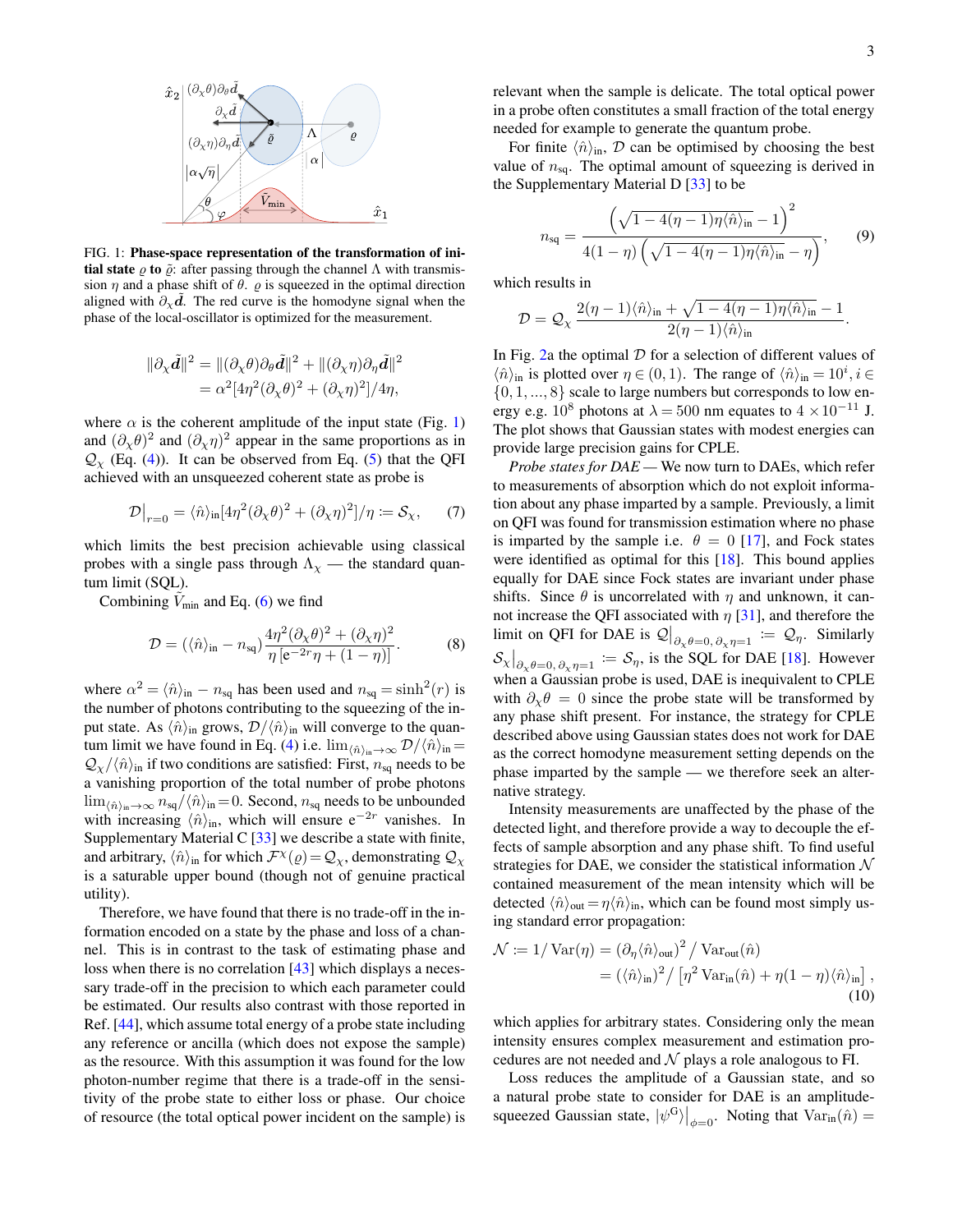

<span id="page-2-0"></span>FIG. 1: Phase-space representation of the transformation of ini**tial state**  $ρ$  **to**  $\tilde{ρ}$ : after passing through the channel Λ with transmission  $\eta$  and a phase shift of  $\theta$ .  $\rho$  is squeezed in the optimal direction aligned with  $\partial_{\chi}\tilde{d}$ . The red curve is the homodyne signal when the phase of the local-oscillator is optimized for the measurement.

$$
\begin{aligned} \|\partial_{\chi}\tilde{\mathbf{d}}\|^{2} &= \|(\partial_{\chi}\theta)\partial_{\theta}\tilde{\mathbf{d}}\|^{2} + \|(\partial_{\chi}\eta)\partial_{\eta}\tilde{\mathbf{d}}\|^{2} \\ &= \alpha^{2}[4\eta^{2}(\partial_{\chi}\theta)^{2} + (\partial_{\chi}\eta)^{2}]/4\eta, \end{aligned}
$$

where  $\alpha$  is the coherent amplitude of the input state (Fig. [1\)](#page-2-0) and  $(\partial_{\chi}\theta)^2$  and  $(\partial_{\chi}\eta)^2$  appear in the same proportions as in  $\mathcal{Q}_{\chi}$  (Eq. [\(4\)](#page-1-2)). It can be observed from Eq. [\(5\)](#page-1-3) that the QFI achieved with an unsqueezed coherent state as probe is

$$
\mathcal{D}\big|_{r=0} = \langle \hat{n} \rangle_{\text{in}} [4\eta^2 (\partial_\chi \theta)^2 + (\partial_\chi \eta)^2]/\eta := \mathcal{S}_\chi,\qquad(7)
$$

which limits the best precision achievable using classical probes with a single pass through  $\Lambda_{\chi}$  — the standard quantum limit (SQL).

Combining  $V_{\text{min}}$  and Eq. [\(6\)](#page-1-4) we find

$$
\mathcal{D} = (\langle \hat{n} \rangle_{\text{in}} - n_{\text{sq}}) \frac{4\eta^2 (\partial_\chi \theta)^2 + (\partial_\chi \eta)^2}{\eta \left[ e^{-2r} \eta + (1 - \eta) \right]}.
$$
 (8)

where  $\alpha^2 = \langle \hat{n} \rangle_{\text{in}} - n_{\text{sq}}$  has been used and  $n_{\text{sq}} = \sinh^2(r)$  is the number of photons contributing to the squeezing of the input state. As  $\langle \hat{n} \rangle$ <sub>in</sub> grows,  $\mathcal{D}/\langle \hat{n} \rangle$ <sub>in</sub> will converge to the quan-tum limit we have found in Eq. [\(4\)](#page-1-2) i.e.  $\lim_{\langle \hat{n}\rangle_{in}\to\infty} \mathcal{D}/\langle \hat{n}\rangle_{in} =$  $\mathcal{Q}_{\chi}/\langle \hat{n} \rangle$ <sub>in</sub> if two conditions are satisfied: First,  $n_{sq}$  needs to be a vanishing proportion of the total number of probe photons  $\lim_{\langle \hat{n} \rangle_{\text{in}} \to \infty} n_{\text{sq}} / \langle \hat{n} \rangle_{\text{in}} = 0$ . Second,  $n_{\text{sq}}$  needs to be unbounded with increasing  $\langle \hat{n} \rangle$ <sub>in</sub>, which will ensure e<sup>-2r</sup> vanishes. In Supplementary Material C  $[33]$  we describe a state with finite, and arbitrary,  $\langle \hat{n} \rangle$ <sub>in</sub> for which  $\mathcal{F}^{\chi}(\rho) = \mathcal{Q}_{\chi}$ , demonstrating  $\mathcal{Q}_{\chi}$ is a saturable upper bound (though not of genuine practical utility).

Therefore, we have found that there is no trade-off in the information encoded on a state by the phase and loss of a channel. This is in contrast to the task of estimating phase and loss when there is no correlation [\[43\]](#page-5-8) which displays a necessary trade-off in the precision to which each parameter could be estimated. Our results also contrast with those reported in Ref. [\[44\]](#page-5-9), which assume total energy of a probe state including any reference or ancilla (which does not expose the sample) as the resource. With this assumption it was found for the low photon-number regime that there is a trade-off in the sensitivity of the probe state to either loss or phase. Our choice of resource (the total optical power incident on the sample) is

relevant when the sample is delicate. The total optical power in a probe often constitutes a small fraction of the total energy needed for example to generate the quantum probe.

For finite  $\langle \hat{n} \rangle$ <sub>in</sub>, D can be optimised by choosing the best value of  $n_{sq}$ . The optimal amount of squeezing is derived in the Supplementary Material D [\[33\]](#page-4-25) to be

<span id="page-2-1"></span>
$$
n_{\text{sq}} = \frac{\left(\sqrt{1 - 4(\eta - 1)\eta \langle \hat{n} \rangle_{\text{in}}} - 1\right)^2}{4(1 - \eta) \left(\sqrt{1 - 4(\eta - 1)\eta \langle \hat{n} \rangle_{\text{in}}} - \eta\right)},\qquad(9)
$$

which results in

$$
\mathcal{D} = \mathcal{Q}_{\chi} \, \frac{2(\eta-1)\langle \hat{n}\rangle_{\text{in}} + \sqrt{1-4(\eta-1)\eta \langle \hat{n}\rangle_{\text{in}}}-1}{2(\eta-1)\langle \hat{n}\rangle_{\text{in}}}.
$$

In Fig. [2a](#page-3-0) the optimal  $D$  for a selection of different values of  $\langle \hat{n} \rangle$ <sub>in</sub> is plotted over  $\eta \in (0, 1)$ . The range of  $\langle \hat{n} \rangle$ <sub>in</sub> = 10<sup>*i*</sup>, *i*  $\in$  $\{0, 1, \ldots, 8\}$  scale to large numbers but corresponds to low energy e.g.  $10^8$  photons at  $\lambda = 500$  nm equates to  $4 \times 10^{-11}$  J. The plot shows that Gaussian states with modest energies can provide large precision gains for CPLE.

*Probe states for DAE —* We now turn to DAEs, which refer to measurements of absorption which do not exploit information about any phase imparted by a sample. Previously, a limit on QFI was found for transmission estimation where no phase is imparted by the sample i.e.  $\theta = 0$  [\[17\]](#page-4-26), and Fock states were identified as optimal for this [\[18\]](#page-4-19). This bound applies equally for DAE since Fock states are invariant under phase shifts. Since  $\theta$  is uncorrelated with  $\eta$  and unknown, it cannot increase the QFI associated with  $\eta$  [\[31\]](#page-4-22), and therefore the limit on QFI for DAE is  $\mathcal{Q}\big|_{\partial_\chi \theta=0, \partial_\chi \eta=1} := \mathcal{Q}_\eta$ . Similarly  $\mathcal{S}_{\chi}|_{\partial_{\chi}\theta=0, \partial_{\chi}\eta=1} \coloneqq \mathcal{S}_{\eta}$ , is the SQL for DAE [\[18\]](#page-4-19). However when a Gaussian probe is used, DAE is inequivalent to CPLE with  $\partial_{\chi} \theta = 0$  since the probe state will be transformed by any phase shift present. For instance, the strategy for CPLE described above using Gaussian states does not work for DAE as the correct homodyne measurement setting depends on the phase imparted by the sample — we therefore seek an alternative strategy.

Intensity measurements are unaffected by the phase of the detected light, and therefore provide a way to decouple the effects of sample absorption and any phase shift. To find useful strategies for DAE, we consider the statistical information  $\mathcal N$ contained measurement of the mean intensity which will be detected  $\langle \hat{n} \rangle_{\text{out}} = \eta \langle \hat{n} \rangle_{\text{in}}$ , which can be found most simply using standard error propagation:

<span id="page-2-2"></span>
$$
\mathcal{N} := 1/\operatorname{Var}(\eta) = \left(\partial_{\eta} \langle \hat{n} \rangle_{\text{out}}\right)^{2} / \operatorname{Var}_{\text{out}}(\hat{n})
$$

$$
= (\langle \hat{n} \rangle_{\text{in}})^{2} / \left[\eta^{2} \operatorname{Var}_{\text{in}}(\hat{n}) + \eta (1 - \eta) \langle \hat{n} \rangle_{\text{in}}\right], \tag{10}
$$

which applies for arbitrary states. Considering only the mean intensity ensures complex measurement and estimation procedures are not needed and  $N$  plays a role analogous to FI.

Loss reduces the amplitude of a Gaussian state, and so a natural probe state to consider for DAE is an amplitudesqueezed Gaussian state,  $|\psi^{\text{G}}\rangle|_{\phi=0}$ . Noting that  $\text{Var}_{\text{in}}(\hat{n}) =$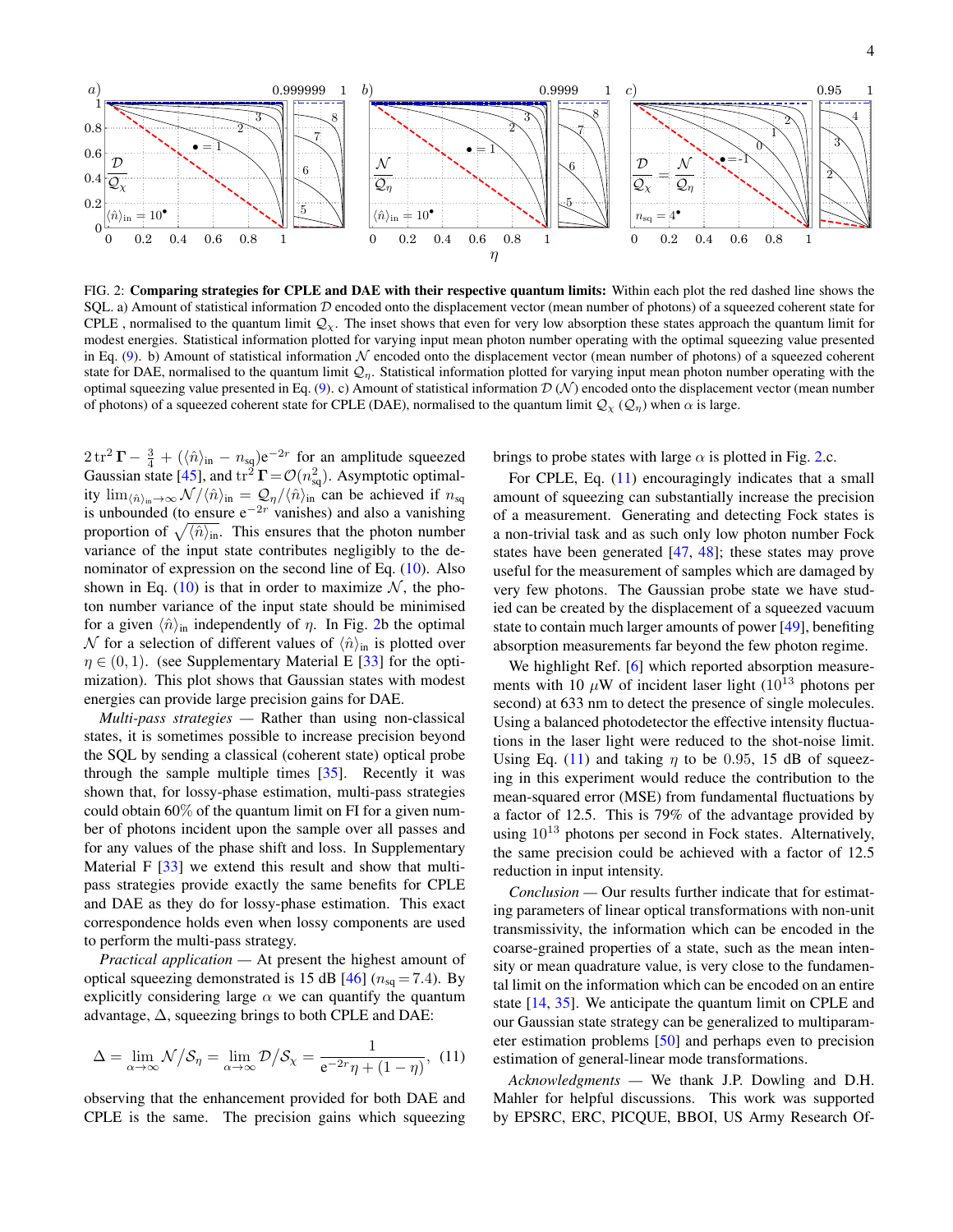

<span id="page-3-0"></span>FIG. 2: Comparing strategies for CPLE and DAE with their respective quantum limits: Within each plot the red dashed line shows the SQL. a) Amount of statistical information  $D$  encoded onto the displacement vector (mean number of photons) of a squeezed coherent state for CPLE, normalised to the quantum limit  $\mathcal{Q}_\chi$ . The inset shows that even for very low absorption these states approach the quantum limit for modest energies. Statistical information plotted for varying input mean photon number operating with the optimal squeezing value presented in Eq.  $(9)$ . b) Amount of statistical information N encoded onto the displacement vector (mean number of photons) of a squeezed coherent state for DAE, normalised to the quantum limit  $Q_n$ . Statistical information plotted for varying input mean photon number operating with the optimal squeezing value presented in Eq. [\(9\)](#page-2-1). c) Amount of statistical information  $\mathcal{D}(\mathcal{N})$  encoded onto the displacement vector (mean number of photons) of a squeezed coherent state for CPLE (DAE), normalised to the quantum limit  $Q_\chi(Q_\eta)$  when  $\alpha$  is large.

 $2 \text{ tr}^2 \Gamma - \frac{3}{4} + (\langle \hat{n} \rangle_{\text{in}} - n_{\text{sq}}) e^{-2r}$  for an amplitude squeezed Gaussian state [\[45\]](#page-5-10), and  $tr^2 \Gamma = \mathcal{O}(n_{sq}^2)$ . Asymptotic optimality  $\lim_{\langle \hat{n} \rangle_{in} \to \infty} \mathcal{N}/\langle \hat{n} \rangle_{in} = \mathcal{Q}_{\eta}/\langle \hat{n} \rangle_{in}$  can be achieved if  $n_{sq}$ is unbounded (to ensure  $e^{-2r}$  vanishes) and also a vanishing proportion of  $\sqrt{\langle \hat{n} \rangle_{\text{in}}}.$  This ensures that the photon number variance of the input state contributes negligibly to the denominator of expression on the second line of Eq. [\(10\)](#page-2-2). Also shown in Eq. [\(10\)](#page-2-2) is that in order to maximize  $N$ , the photon number variance of the input state should be minimised for a given  $\langle \hat{n} \rangle$ <sub>in</sub> independently of  $\eta$ . In Fig. [2b](#page-3-0) the optimal N for a selection of different values of  $\langle \hat{n} \rangle$ <sub>in</sub> is plotted over  $\eta \in (0, 1)$ . (see Supplementary Material E [\[33\]](#page-4-25) for the optimization). This plot shows that Gaussian states with modest energies can provide large precision gains for DAE.

*Multi-pass strategies —* Rather than using non-classical states, it is sometimes possible to increase precision beyond the SQL by sending a classical (coherent state) optical probe through the sample multiple times [\[35\]](#page-5-0). Recently it was shown that, for lossy-phase estimation, multi-pass strategies could obtain 60% of the quantum limit on FI for a given number of photons incident upon the sample over all passes and for any values of the phase shift and loss. In Supplementary Material F  $[33]$  we extend this result and show that multipass strategies provide exactly the same benefits for CPLE and DAE as they do for lossy-phase estimation. This exact correspondence holds even when lossy components are used to perform the multi-pass strategy.

*Practical application —* At present the highest amount of optical squeezing demonstrated is 15 dB [\[46\]](#page-5-11) ( $n_{\text{sq}} = 7.4$ ). By explicitly considering large  $\alpha$  we can quantify the quantum advantage,  $\Delta$ , squeezing brings to both CPLE and DAE:

<span id="page-3-1"></span>
$$
\Delta = \lim_{\alpha \to \infty} \mathcal{N} / \mathcal{S}_{\eta} = \lim_{\alpha \to \infty} \mathcal{D} / \mathcal{S}_{\chi} = \frac{1}{e^{-2r}\eta + (1 - \eta)}, \tag{11}
$$

observing that the enhancement provided for both DAE and CPLE is the same. The precision gains which squeezing brings to probe states with large  $\alpha$  is plotted in Fig. [2.](#page-3-0)c.

For CPLE, Eq.  $(11)$  encouragingly indicates that a small amount of squeezing can substantially increase the precision of a measurement. Generating and detecting Fock states is a non-trivial task and as such only low photon number Fock states have been generated [\[47,](#page-5-12) [48\]](#page-5-13); these states may prove useful for the measurement of samples which are damaged by very few photons. The Gaussian probe state we have studied can be created by the displacement of a squeezed vacuum state to contain much larger amounts of power [\[49\]](#page-5-14), benefiting absorption measurements far beyond the few photon regime.

We highlight Ref. [\[6\]](#page-4-6) which reported absorption measurements with 10  $\mu$ W of incident laser light (10<sup>13</sup> photons per second) at 633 nm to detect the presence of single molecules. Using a balanced photodetector the effective intensity fluctuations in the laser light were reduced to the shot-noise limit. Using Eq. [\(11\)](#page-3-1) and taking  $\eta$  to be 0.95, 15 dB of squeezing in this experiment would reduce the contribution to the mean-squared error (MSE) from fundamental fluctuations by a factor of 12.5. This is 79% of the advantage provided by using  $10^{13}$  photons per second in Fock states. Alternatively, the same precision could be achieved with a factor of 12.5 reduction in input intensity.

*Conclusion —* Our results further indicate that for estimating parameters of linear optical transformations with non-unit transmissivity, the information which can be encoded in the coarse-grained properties of a state, such as the mean intensity or mean quadrature value, is very close to the fundamental limit on the information which can be encoded on an entire state [\[14,](#page-4-9) [35\]](#page-5-0). We anticipate the quantum limit on CPLE and our Gaussian state strategy can be generalized to multiparameter estimation problems [\[50\]](#page-5-15) and perhaps even to precision estimation of general-linear mode transformations.

*Acknowledgments —* We thank J.P. Dowling and D.H. Mahler for helpful discussions. This work was supported by EPSRC, ERC, PICQUE, BBOI, US Army Research Of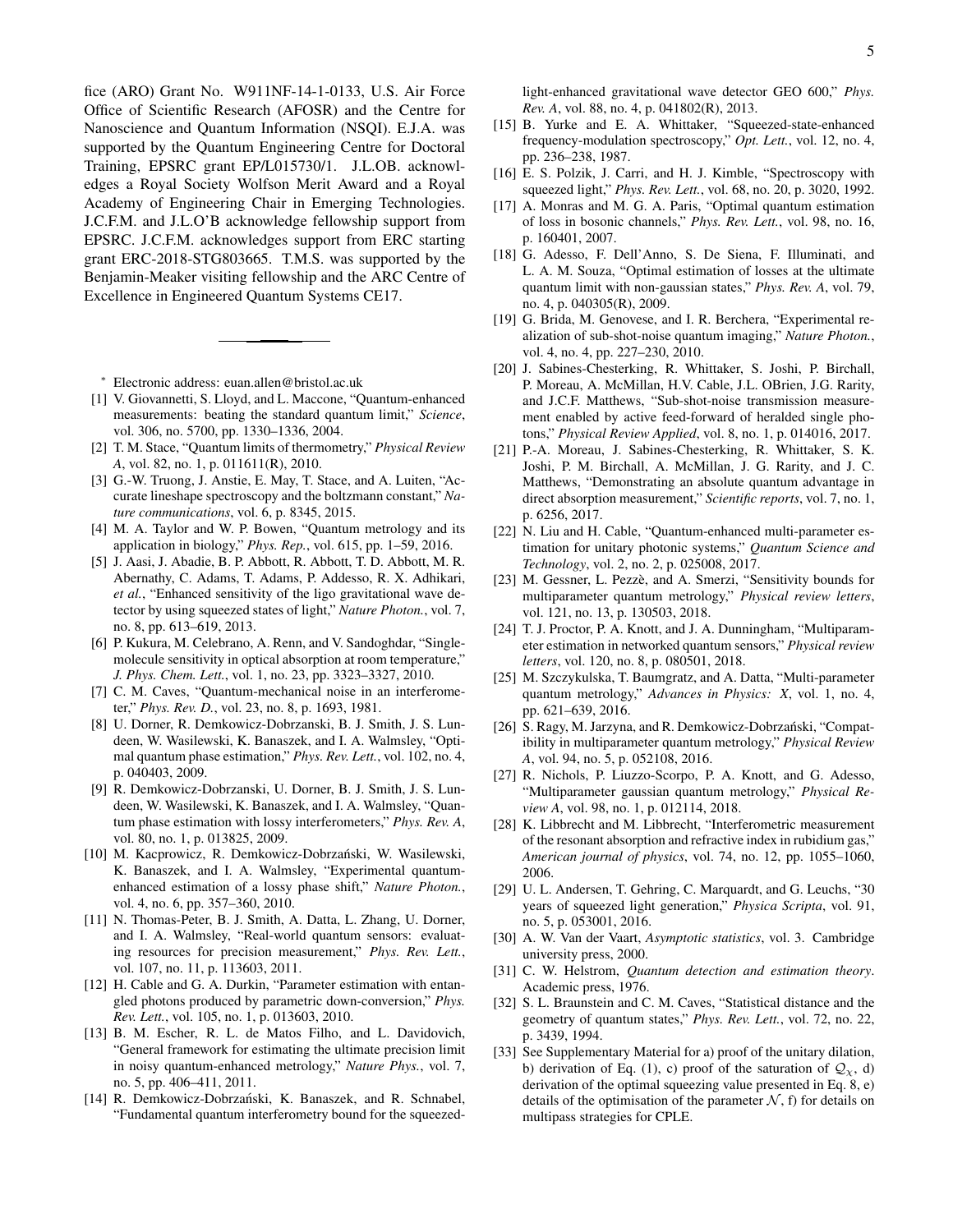fice (ARO) Grant No. W911NF-14-1-0133, U.S. Air Force Office of Scientific Research (AFOSR) and the Centre for Nanoscience and Quantum Information (NSQI). E.J.A. was supported by the Quantum Engineering Centre for Doctoral Training, EPSRC grant EP/L015730/1. J.L.OB. acknowledges a Royal Society Wolfson Merit Award and a Royal Academy of Engineering Chair in Emerging Technologies. J.C.F.M. and J.L.O'B acknowledge fellowship support from EPSRC. J.C.F.M. acknowledges support from ERC starting grant ERC-2018-STG803665. T.M.S. was supported by the Benjamin-Meaker visiting fellowship and the ARC Centre of Excellence in Engineered Quantum Systems CE17.

<span id="page-4-0"></span><sup>∗</sup> Electronic address: [euan.allen@bristol.ac.uk](mailto:euan.allen@bristol.ac.uk)

- <span id="page-4-1"></span>[1] V. Giovannetti, S. Lloyd, and L. Maccone, "Quantum-enhanced measurements: beating the standard quantum limit," *Science*, vol. 306, no. 5700, pp. 1330–1336, 2004.
- <span id="page-4-2"></span>[2] T. M. Stace, "Quantum limits of thermometry," *Physical Review A*, vol. 82, no. 1, p. 011611(R), 2010.
- <span id="page-4-3"></span>[3] G.-W. Truong, J. Anstie, E. May, T. Stace, and A. Luiten, "Accurate lineshape spectroscopy and the boltzmann constant," *Nature communications*, vol. 6, p. 8345, 2015.
- <span id="page-4-4"></span>[4] M. A. Taylor and W. P. Bowen, "Quantum metrology and its application in biology," *Phys. Rep.*, vol. 615, pp. 1–59, 2016.
- <span id="page-4-5"></span>[5] J. Aasi, J. Abadie, B. P. Abbott, R. Abbott, T. D. Abbott, M. R. Abernathy, C. Adams, T. Adams, P. Addesso, R. X. Adhikari, *et al.*, "Enhanced sensitivity of the ligo gravitational wave detector by using squeezed states of light," *Nature Photon.*, vol. 7, no. 8, pp. 613–619, 2013.
- <span id="page-4-6"></span>[6] P. Kukura, M. Celebrano, A. Renn, and V. Sandoghdar, "Singlemolecule sensitivity in optical absorption at room temperature," *J. Phys. Chem. Lett.*, vol. 1, no. 23, pp. 3323–3327, 2010.
- <span id="page-4-7"></span>[7] C. M. Caves, "Quantum-mechanical noise in an interferometer," *Phys. Rev. D.*, vol. 23, no. 8, p. 1693, 1981.
- <span id="page-4-8"></span>[8] U. Dorner, R. Demkowicz-Dobrzanski, B. J. Smith, J. S. Lundeen, W. Wasilewski, K. Banaszek, and I. A. Walmsley, "Optimal quantum phase estimation," *Phys. Rev. Lett.*, vol. 102, no. 4, p. 040403, 2009.
- [9] R. Demkowicz-Dobrzanski, U. Dorner, B. J. Smith, J. S. Lundeen, W. Wasilewski, K. Banaszek, and I. A. Walmsley, "Quantum phase estimation with lossy interferometers," *Phys. Rev. A*, vol. 80, no. 1, p. 013825, 2009.
- <span id="page-4-10"></span>[10] M. Kacprowicz, R. Demkowicz-Dobrzański, W. Wasilewski, K. Banaszek, and I. A. Walmsley, "Experimental quantumenhanced estimation of a lossy phase shift," *Nature Photon.*, vol. 4, no. 6, pp. 357–360, 2010.
- [11] N. Thomas-Peter, B. J. Smith, A. Datta, L. Zhang, U. Dorner, and I. A. Walmsley, "Real-world quantum sensors: evaluating resources for precision measurement," *Phys. Rev. Lett.*, vol. 107, no. 11, p. 113603, 2011.
- [12] H. Cable and G. A. Durkin, "Parameter estimation with entangled photons produced by parametric down-conversion," *Phys. Rev. Lett.*, vol. 105, no. 1, p. 013603, 2010.
- <span id="page-4-24"></span>[13] B. M. Escher, R. L. de Matos Filho, and L. Davidovich, "General framework for estimating the ultimate precision limit in noisy quantum-enhanced metrology," *Nature Phys.*, vol. 7, no. 5, pp. 406–411, 2011.
- <span id="page-4-9"></span>[14] R. Demkowicz-Dobrzański, K. Banaszek, and R. Schnabel, "Fundamental quantum interferometry bound for the squeezed-

light-enhanced gravitational wave detector GEO 600," *Phys. Rev. A*, vol. 88, no. 4, p. 041802(R), 2013.

- <span id="page-4-11"></span>[15] B. Yurke and E. A. Whittaker, "Squeezed-state-enhanced frequency-modulation spectroscopy," *Opt. Lett.*, vol. 12, no. 4, pp. 236–238, 1987.
- <span id="page-4-18"></span>[16] E. S. Polzik, J. Carri, and H. J. Kimble, "Spectroscopy with squeezed light," *Phys. Rev. Lett.*, vol. 68, no. 20, p. 3020, 1992.
- <span id="page-4-26"></span>[17] A. Monras and M. G. A. Paris, "Optimal quantum estimation of loss in bosonic channels," *Phys. Rev. Lett.*, vol. 98, no. 16, p. 160401, 2007.
- <span id="page-4-19"></span>[18] G. Adesso, F. Dell'Anno, S. De Siena, F. Illuminati, and L. A. M. Souza, "Optimal estimation of losses at the ultimate quantum limit with non-gaussian states," *Phys. Rev. A*, vol. 79, no. 4, p. 040305(R), 2009.
- [19] G. Brida, M. Genovese, and I. R. Berchera, "Experimental realization of sub-shot-noise quantum imaging," *Nature Photon.*, vol. 4, no. 4, pp. 227–230, 2010.
- [20] J. Sabines-Chesterking, R. Whittaker, S. Joshi, P. Birchall, P. Moreau, A. McMillan, H.V. Cable, J.L. OBrien, J.G. Rarity, and J.C.F. Matthews, "Sub-shot-noise transmission measurement enabled by active feed-forward of heralded single photons," *Physical Review Applied*, vol. 8, no. 1, p. 014016, 2017.
- <span id="page-4-12"></span>[21] P.-A. Moreau, J. Sabines-Chesterking, R. Whittaker, S. K. Joshi, P. M. Birchall, A. McMillan, J. G. Rarity, and J. C. Matthews, "Demonstrating an absolute quantum advantage in direct absorption measurement," *Scientific reports*, vol. 7, no. 1, p. 6256, 2017.
- <span id="page-4-13"></span>[22] N. Liu and H. Cable, "Quantum-enhanced multi-parameter estimation for unitary photonic systems," *Quantum Science and Technology*, vol. 2, no. 2, p. 025008, 2017.
- [23] M. Gessner, L. Pezzè, and A. Smerzi, "Sensitivity bounds for multiparameter quantum metrology," *Physical review letters*, vol. 121, no. 13, p. 130503, 2018.
- <span id="page-4-14"></span>[24] T. J. Proctor, P. A. Knott, and J. A. Dunningham, "Multiparameter estimation in networked quantum sensors," *Physical review letters*, vol. 120, no. 8, p. 080501, 2018.
- <span id="page-4-15"></span>[25] M. Szczykulska, T. Baumgratz, and A. Datta, "Multi-parameter" quantum metrology," *Advances in Physics: X*, vol. 1, no. 4, pp. 621–639, 2016.
- [26] S. Ragy, M. Jarzyna, and R. Demkowicz-Dobrzański, "Compatibility in multiparameter quantum metrology," *Physical Review A*, vol. 94, no. 5, p. 052108, 2016.
- <span id="page-4-16"></span>[27] R. Nichols, P. Liuzzo-Scorpo, P. A. Knott, and G. Adesso, "Multiparameter gaussian quantum metrology," *Physical Review A*, vol. 98, no. 1, p. 012114, 2018.
- <span id="page-4-17"></span>[28] K. Libbrecht and M. Libbrecht, "Interferometric measurement of the resonant absorption and refractive index in rubidium gas," *American journal of physics*, vol. 74, no. 12, pp. 1055–1060, 2006.
- <span id="page-4-20"></span>[29] U. L. Andersen, T. Gehring, C. Marquardt, and G. Leuchs, "30 years of squeezed light generation," *Physica Scripta*, vol. 91, no. 5, p. 053001, 2016.
- <span id="page-4-21"></span>[30] A. W. Van der Vaart, *Asymptotic statistics*, vol. 3. Cambridge university press, 2000.
- <span id="page-4-22"></span>[31] C. W. Helstrom, *Quantum detection and estimation theory*. Academic press, 1976.
- <span id="page-4-23"></span>[32] S. L. Braunstein and C. M. Caves, "Statistical distance and the geometry of quantum states," *Phys. Rev. Lett.*, vol. 72, no. 22, p. 3439, 1994.
- <span id="page-4-25"></span>[33] See Supplementary Material for a) proof of the unitary dilation, b) derivation of Eq. (1), c) proof of the saturation of  $\mathcal{Q}_{\chi}$ , d) derivation of the optimal squeezing value presented in Eq. 8, e) details of the optimisation of the parameter  $N$ , f) for details on multipass strategies for CPLE.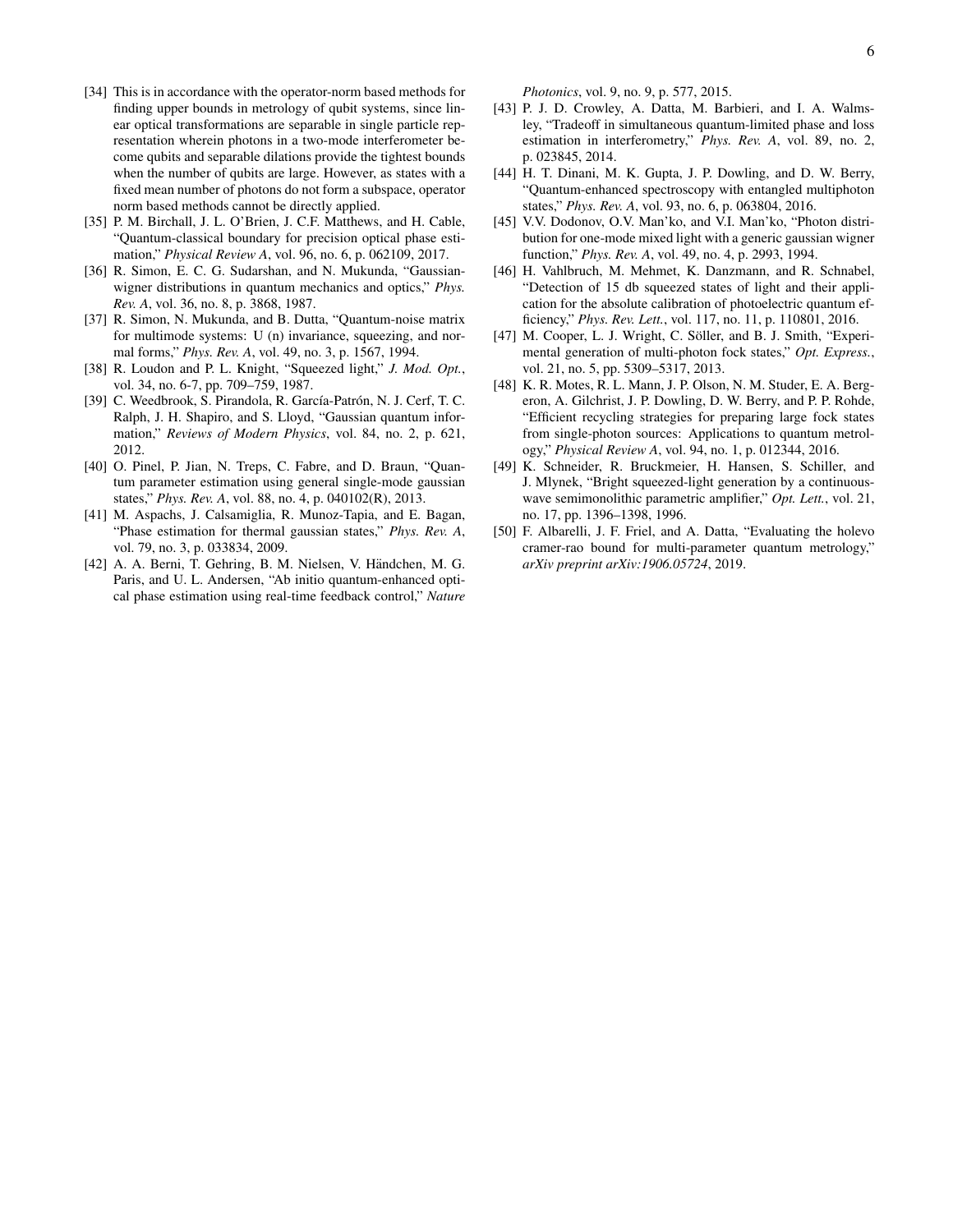- [34] This is in accordance with the operator-norm based methods for finding upper bounds in metrology of qubit systems, since linear optical transformations are separable in single particle representation wherein photons in a two-mode interferometer become qubits and separable dilations provide the tightest bounds when the number of qubits are large. However, as states with a fixed mean number of photons do not form a subspace, operator norm based methods cannot be directly applied.
- <span id="page-5-0"></span>[35] P. M. Birchall, J. L. O'Brien, J. C.F. Matthews, and H. Cable, "Quantum-classical boundary for precision optical phase estimation," *Physical Review A*, vol. 96, no. 6, p. 062109, 2017.
- <span id="page-5-1"></span>[36] R. Simon, E. C. G. Sudarshan, and N. Mukunda, "Gaussianwigner distributions in quantum mechanics and optics," *Phys. Rev. A*, vol. 36, no. 8, p. 3868, 1987.
- <span id="page-5-2"></span>[37] R. Simon, N. Mukunda, and B. Dutta, "Quantum-noise matrix for multimode systems: U (n) invariance, squeezing, and normal forms," *Phys. Rev. A*, vol. 49, no. 3, p. 1567, 1994.
- <span id="page-5-3"></span>[38] R. Loudon and P. L. Knight, "Squeezed light," *J. Mod. Opt.*, vol. 34, no. 6-7, pp. 709–759, 1987.
- <span id="page-5-4"></span>[39] C. Weedbrook, S. Pirandola, R. García-Patrón, N. J. Cerf, T. C. Ralph, J. H. Shapiro, and S. Lloyd, "Gaussian quantum information," *Reviews of Modern Physics*, vol. 84, no. 2, p. 621, 2012.
- <span id="page-5-5"></span>[40] O. Pinel, P. Jian, N. Treps, C. Fabre, and D. Braun, "Quantum parameter estimation using general single-mode gaussian states," *Phys. Rev. A*, vol. 88, no. 4, p. 040102(R), 2013.
- <span id="page-5-6"></span>[41] M. Aspachs, J. Calsamiglia, R. Munoz-Tapia, and E. Bagan, "Phase estimation for thermal gaussian states," *Phys. Rev. A*, vol. 79, no. 3, p. 033834, 2009.
- <span id="page-5-7"></span>[42] A. A. Berni, T. Gehring, B. M. Nielsen, V. Händchen, M. G. Paris, and U. L. Andersen, "Ab initio quantum-enhanced optical phase estimation using real-time feedback control," *Nature*

*Photonics*, vol. 9, no. 9, p. 577, 2015.

- <span id="page-5-8"></span>[43] P. J. D. Crowley, A. Datta, M. Barbieri, and I. A. Walmsley, "Tradeoff in simultaneous quantum-limited phase and loss estimation in interferometry," *Phys. Rev. A*, vol. 89, no. 2, p. 023845, 2014.
- <span id="page-5-9"></span>[44] H. T. Dinani, M. K. Gupta, J. P. Dowling, and D. W. Berry, "Quantum-enhanced spectroscopy with entangled multiphoton states," *Phys. Rev. A*, vol. 93, no. 6, p. 063804, 2016.
- <span id="page-5-10"></span>[45] V.V. Dodonov, O.V. Man'ko, and V.I. Man'ko, "Photon distribution for one-mode mixed light with a generic gaussian wigner function," *Phys. Rev. A*, vol. 49, no. 4, p. 2993, 1994.
- <span id="page-5-11"></span>[46] H. Vahlbruch, M. Mehmet, K. Danzmann, and R. Schnabel, "Detection of 15 db squeezed states of light and their application for the absolute calibration of photoelectric quantum efficiency," *Phys. Rev. Lett.*, vol. 117, no. 11, p. 110801, 2016.
- <span id="page-5-12"></span>[47] M. Cooper, L. J. Wright, C. Söller, and B. J. Smith, "Experimental generation of multi-photon fock states," *Opt. Express.*, vol. 21, no. 5, pp. 5309–5317, 2013.
- <span id="page-5-13"></span>[48] K. R. Motes, R. L. Mann, J. P. Olson, N. M. Studer, E. A. Bergeron, A. Gilchrist, J. P. Dowling, D. W. Berry, and P. P. Rohde, "Efficient recycling strategies for preparing large fock states from single-photon sources: Applications to quantum metrology," *Physical Review A*, vol. 94, no. 1, p. 012344, 2016.
- <span id="page-5-14"></span>[49] K. Schneider, R. Bruckmeier, H. Hansen, S. Schiller, and J. Mlynek, "Bright squeezed-light generation by a continuouswave semimonolithic parametric amplifier," *Opt. Lett.*, vol. 21, no. 17, pp. 1396–1398, 1996.
- <span id="page-5-15"></span>[50] F. Albarelli, J. F. Friel, and A. Datta, "Evaluating the holevo cramer-rao bound for multi-parameter quantum metrology," *arXiv preprint arXiv:1906.05724*, 2019.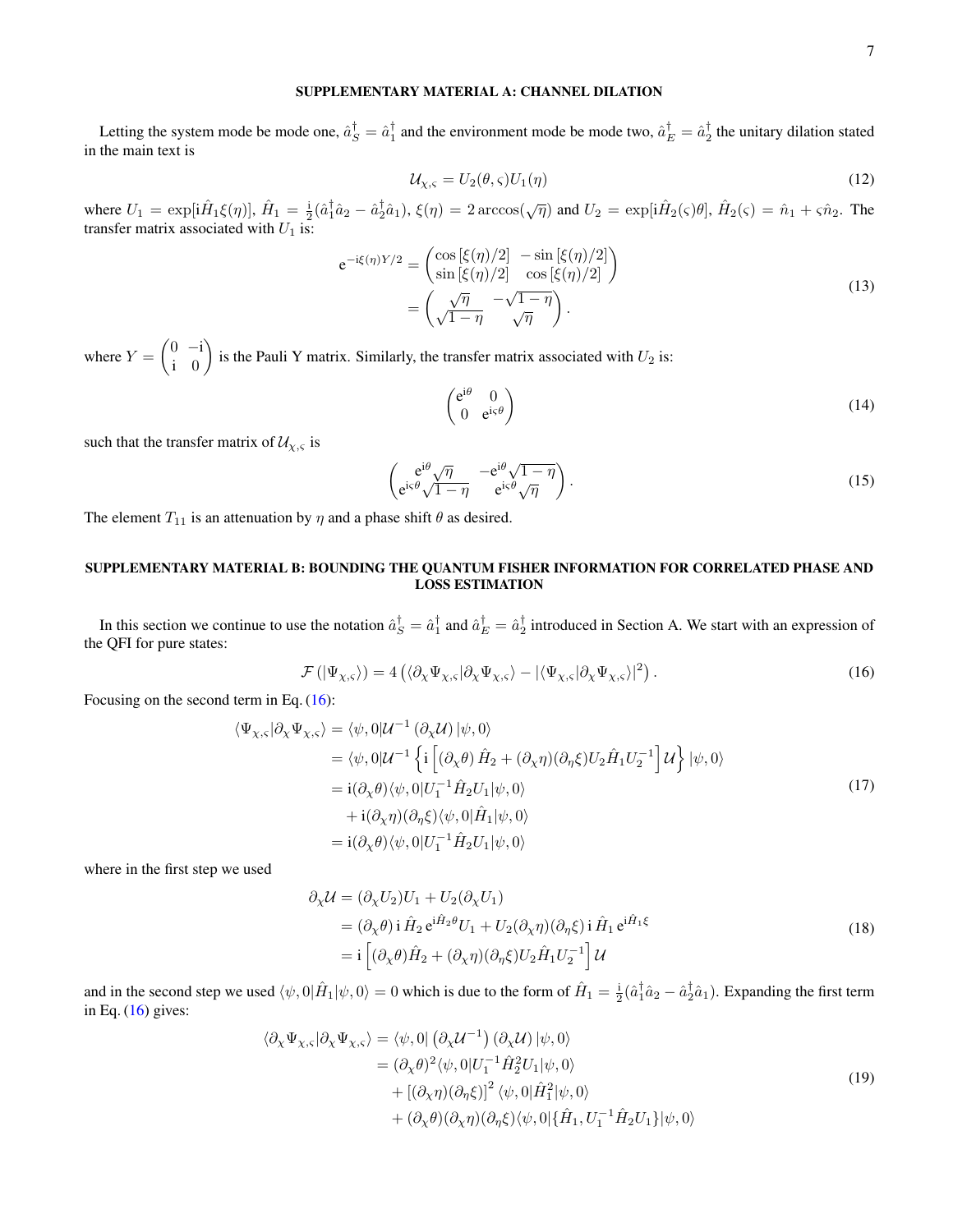### SUPPLEMENTARY MATERIAL A: CHANNEL DILATION

Letting the system mode be mode one,  $\hat{a}_S^T = \hat{a}_1^T$  and the environment mode be mode two,  $\hat{a}_E^T = \hat{a}_2^T$  the unitary dilation stated in the main text is

$$
\mathcal{U}_{\chi,\varsigma} = U_2(\theta,\varsigma)U_1(\eta) \tag{12}
$$

where  $U_1 = \exp[i\hat{H}_1\xi(\eta)]$ ,  $\hat{H}_1 = \frac{i}{2}(\hat{a}_1^{\dagger}\hat{a}_2 - \hat{a}_2^{\dagger}\hat{a}_1)$ ,  $\xi(\eta) = 2 \arccos(\sqrt{\eta})$  and  $U_2 = \exp[i\hat{H}_2(\varsigma)\theta]$ ,  $\hat{H}_2(\varsigma) = \hat{n}_1 + \varsigma\hat{n}_2$ . The transfer matrix associated with  $U_1$  is:

$$
e^{-i\xi(\eta)Y/2} = \begin{pmatrix} \cos\left[\xi(\eta)/2\right] & -\sin\left[\xi(\eta)/2\right] \\ \sin\left[\xi(\eta)/2\right] & \cos\left[\xi(\eta)/2\right] \end{pmatrix}
$$

$$
= \begin{pmatrix} \sqrt{\eta} & -\sqrt{1-\eta} \\ \sqrt{1-\eta} & \sqrt{\eta} \end{pmatrix}.
$$
(13)

where  $Y = \begin{pmatrix} 0 & -i \\ i & 0 \end{pmatrix}$ i 0 ) is the Pauli Y matrix. Similarly, the transfer matrix associated with  $U_2$  is:

$$
\begin{pmatrix} e^{i\theta} & 0\\ 0 & e^{i\varsigma\theta} \end{pmatrix}
$$
 (14)

such that the transfer matrix of  $\mathcal{U}_{\chi,\varsigma}$  is

$$
\begin{pmatrix} e^{i\theta}\sqrt{\eta} & -e^{i\theta}\sqrt{1-\eta} \\ e^{i\varsigma\theta}\sqrt{1-\eta} & e^{i\varsigma\theta}\sqrt{\eta} \end{pmatrix}.
$$
 (15)

The element  $T_{11}$  is an attenuation by  $\eta$  and a phase shift  $\theta$  as desired.

# SUPPLEMENTARY MATERIAL B: BOUNDING THE QUANTUM FISHER INFORMATION FOR CORRELATED PHASE AND LOSS ESTIMATION

In this section we continue to use the notation  $\hat{a}_S^{\dagger} = \hat{a}_1^{\dagger}$  and  $\hat{a}_E^{\dagger} = \hat{a}_2^{\dagger}$  introduced in Section A. We start with an expression of the QFI for pure states:

<span id="page-6-0"></span>
$$
\mathcal{F}(|\Psi_{\chi,\varsigma}\rangle) = 4\left(\langle \partial_{\chi}\Psi_{\chi,\varsigma}|\partial_{\chi}\Psi_{\chi,\varsigma}\rangle - |\langle \Psi_{\chi,\varsigma}|\partial_{\chi}\Psi_{\chi,\varsigma}\rangle|^2\right). \tag{16}
$$

<span id="page-6-2"></span>Focusing on the second term in Eq. [\(16\)](#page-6-0):

$$
\langle \Psi_{\chi,\varsigma} | \partial_{\chi} \Psi_{\chi,\varsigma} \rangle = \langle \psi, 0 | \mathcal{U}^{-1} (\partial_{\chi} \mathcal{U}) | \psi, 0 \rangle
$$
  
\n
$$
= \langle \psi, 0 | \mathcal{U}^{-1} \left\{ i \left[ (\partial_{\chi} \theta) \hat{H}_2 + (\partial_{\chi} \eta) (\partial_{\eta} \xi) U_2 \hat{H}_1 U_2^{-1} \right] \mathcal{U} \right\} | \psi, 0 \rangle
$$
  
\n
$$
= i (\partial_{\chi} \theta) \langle \psi, 0 | U_1^{-1} \hat{H}_2 U_1 | \psi, 0 \rangle
$$
  
\n
$$
+ i (\partial_{\chi} \eta) (\partial_{\eta} \xi) \langle \psi, 0 | \hat{H}_1 | \psi, 0 \rangle
$$
  
\n
$$
= i (\partial_{\chi} \theta) \langle \psi, 0 | U_1^{-1} \hat{H}_2 U_1 | \psi, 0 \rangle
$$
  
\n
$$
= i (\partial_{\chi} \theta) \langle \psi, 0 | U_1^{-1} \hat{H}_2 U_1 | \psi, 0 \rangle
$$
  
\n(17)

where in the first step we used

$$
\partial_{\chi} \mathcal{U} = (\partial_{\chi} U_2) U_1 + U_2 (\partial_{\chi} U_1)
$$
  
=  $(\partial_{\chi} \theta) i \hat{H}_2 e^{i \hat{H}_2 \theta} U_1 + U_2 (\partial_{\chi} \eta) (\partial_{\eta} \xi) i \hat{H}_1 e^{i \hat{H}_1 \xi}$   
=  $i \left[ (\partial_{\chi} \theta) \hat{H}_2 + (\partial_{\chi} \eta) (\partial_{\eta} \xi) U_2 \hat{H}_1 U_2^{-1} \right] \mathcal{U}$  (18)

<span id="page-6-1"></span>and in the second step we used  $\langle \psi, 0 | \hat{H}_1 | \psi, 0 \rangle = 0$  which is due to the form of  $\hat{H}_1 = \frac{i}{2} (\hat{a}_1^{\dagger} \hat{a}_2 - \hat{a}_2^{\dagger} \hat{a}_1)$ . Expanding the first term in Eq.  $(16)$  gives:

$$
\langle \partial_{\chi} \Psi_{\chi,\varsigma} | \partial_{\chi} \Psi_{\chi,\varsigma} \rangle = \langle \psi, 0 | \left( \partial_{\chi} \mathcal{U}^{-1} \right) (\partial_{\chi} \mathcal{U}) | \psi, 0 \rangle \n= (\partial_{\chi} \theta)^{2} \langle \psi, 0 | U_{1}^{-1} \hat{H}_{2}^{2} U_{1} | \psi, 0 \rangle \n+ \left[ (\partial_{\chi} \eta) (\partial_{\eta} \xi) \right]^{2} \langle \psi, 0 | \hat{H}_{1}^{2} | \psi, 0 \rangle \n+ (\partial_{\chi} \theta) (\partial_{\chi} \eta) (\partial_{\eta} \xi) \langle \psi, 0 | \{ \hat{H}_{1}, U_{1}^{-1} \hat{H}_{2} U_{1} \} | \psi, 0 \rangle
$$
\n(19)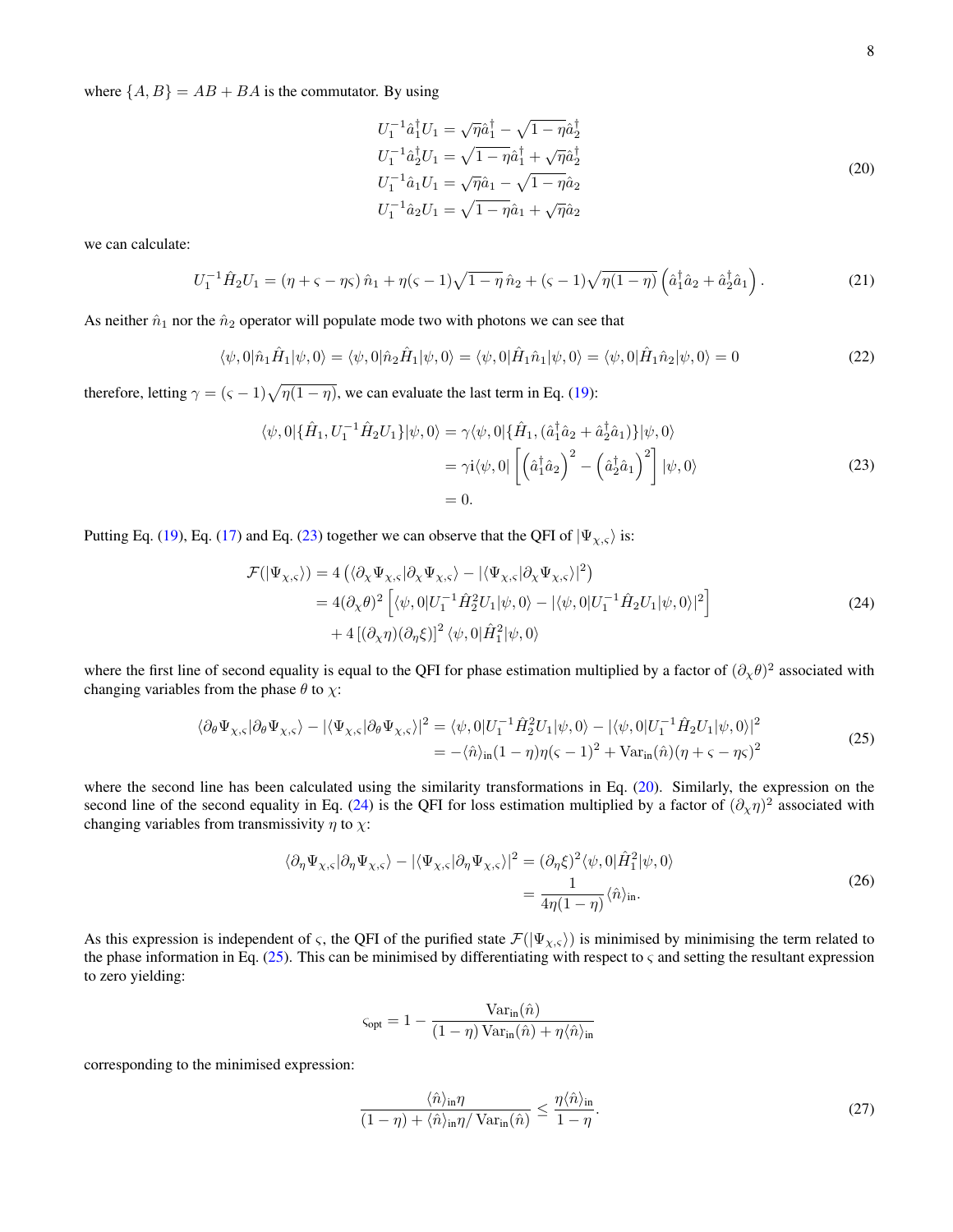<span id="page-7-1"></span>where  $\{A, B\} = AB + BA$  is the commutator. By using

$$
U_1^{-1}\hat{a}_1^{\dagger}U_1 = \sqrt{\eta}\hat{a}_1^{\dagger} - \sqrt{1 - \eta}\hat{a}_2^{\dagger}
$$
  
\n
$$
U_1^{-1}\hat{a}_2^{\dagger}U_1 = \sqrt{1 - \eta}\hat{a}_1^{\dagger} + \sqrt{\eta}\hat{a}_2^{\dagger}
$$
  
\n
$$
U_1^{-1}\hat{a}_1U_1 = \sqrt{\eta}\hat{a}_1 - \sqrt{1 - \eta}\hat{a}_2
$$
  
\n
$$
U_1^{-1}\hat{a}_2U_1 = \sqrt{1 - \eta}\hat{a}_1 + \sqrt{\eta}\hat{a}_2
$$
\n(20)

we can calculate:

$$
U_1^{-1}\hat{H}_2U_1 = (\eta + \varsigma - \eta\varsigma)\,\hat{n}_1 + \eta(\varsigma - 1)\sqrt{1 - \eta}\,\hat{n}_2 + (\varsigma - 1)\sqrt{\eta(1 - \eta)}\left(\hat{a}_1^\dagger\hat{a}_2 + \hat{a}_2^\dagger\hat{a}_1\right). \tag{21}
$$

As neither  $\hat{n}_1$  nor the  $\hat{n}_2$  operator will populate mode two with photons we can see that

$$
\langle \psi, 0 | \hat{n}_1 \hat{H}_1 | \psi, 0 \rangle = \langle \psi, 0 | \hat{n}_2 \hat{H}_1 | \psi, 0 \rangle = \langle \psi, 0 | \hat{H}_1 \hat{n}_1 | \psi, 0 \rangle = \langle \psi, 0 | \hat{H}_1 \hat{n}_2 | \psi, 0 \rangle = 0 \tag{22}
$$

<span id="page-7-0"></span>therefore, letting  $\gamma = (\varsigma - 1)\sqrt{\eta(1 - \eta)}$ , we can evaluate the last term in Eq. [\(19\)](#page-6-1):

$$
\langle \psi, 0 | \{\hat{H}_1, U_1^{-1}\hat{H}_2 U_1\} | \psi, 0 \rangle = \gamma \langle \psi, 0 | \{\hat{H}_1, (\hat{a}_1^{\dagger} \hat{a}_2 + \hat{a}_2^{\dagger} \hat{a}_1) \} | \psi, 0 \rangle
$$
  
=  $\gamma i \langle \psi, 0 | \left[ \left( \hat{a}_1^{\dagger} \hat{a}_2 \right)^2 - \left( \hat{a}_2^{\dagger} \hat{a}_1 \right)^2 \right] | \psi, 0 \rangle$   
= 0. (23)

<span id="page-7-2"></span>Putting Eq. [\(19\)](#page-6-1), Eq. [\(17\)](#page-6-2) and Eq. [\(23\)](#page-7-0) together we can observe that the QFI of  $|\Psi_{\chi,s}\rangle$  is:

$$
\mathcal{F}(|\Psi_{\chi,\varsigma}\rangle) = 4\left(\langle \partial_{\chi}\Psi_{\chi,\varsigma}|\partial_{\chi}\Psi_{\chi,\varsigma}\rangle - |\langle \Psi_{\chi,\varsigma}|\partial_{\chi}\Psi_{\chi,\varsigma}\rangle|^2\right) \n= 4(\partial_{\chi}\theta)^2 \left[\langle \psi,0|U_1^{-1}\hat{H}_2^2U_1|\psi,0\rangle - |\langle \psi,0|U_1^{-1}\hat{H}_2U_1|\psi,0\rangle|^2\right] \n+ 4\left[(\partial_{\chi}\eta)(\partial_{\eta}\xi)\right]^2 \langle \psi,0|\hat{H}_1^2|\psi,0\rangle
$$
\n(24)

where the first line of second equality is equal to the QFI for phase estimation multiplied by a factor of  $(\partial_\chi \theta)^2$  associated with changing variables from the phase  $\theta$  to  $\chi$ :

$$
\langle \partial_{\theta} \Psi_{\chi,\varsigma} | \partial_{\theta} \Psi_{\chi,\varsigma} \rangle - | \langle \Psi_{\chi,\varsigma} | \partial_{\theta} \Psi_{\chi,\varsigma} \rangle |^{2} = \langle \psi, 0 | U_{1}^{-1} \hat{H}_{2}^{2} U_{1} | \psi, 0 \rangle - | \langle \psi, 0 | U_{1}^{-1} \hat{H}_{2} U_{1} | \psi, 0 \rangle |^{2}
$$
  
=  $-\langle \hat{n} \rangle_{\text{in}} (1 - \eta) \eta (\varsigma - 1)^{2} + \text{Var}_{\text{in}}(\hat{n}) (\eta + \varsigma - \eta \varsigma)^{2}$  (25)

<span id="page-7-3"></span>where the second line has been calculated using the similarity transformations in Eq. [\(20\)](#page-7-1). Similarly, the expression on the second line of the second equality in Eq. [\(24\)](#page-7-2) is the QFI for loss estimation multiplied by a factor of  $(\partial_\chi \eta)^2$  associated with changing variables from transmissivity  $\eta$  to  $\chi$ :

$$
\langle \partial_{\eta} \Psi_{\chi,\varsigma} | \partial_{\eta} \Psi_{\chi,\varsigma} \rangle - | \langle \Psi_{\chi,\varsigma} | \partial_{\eta} \Psi_{\chi,\varsigma} \rangle |^{2} = (\partial_{\eta} \xi)^{2} \langle \psi, 0 | \hat{H}_{1}^{2} | \psi, 0 \rangle
$$
  
= 
$$
\frac{1}{4\eta(1-\eta)} \langle \hat{n} \rangle_{\text{in}}.
$$
 (26)

<span id="page-7-4"></span>As this expression is independent of  $\varsigma$ , the QFI of the purified state  $\mathcal{F}(|\Psi_{\chi,\varsigma}\rangle)$  is minimised by minimising the term related to the phase information in Eq. [\(25\)](#page-7-3). This can be minimised by differentiating with respect to  $\varsigma$  and setting the resultant expression to zero yielding:

$$
\varsigma_{\text{opt}} = 1 - \frac{\text{Var}_{\text{in}}(\hat{n})}{(1 - \eta) \text{Var}_{\text{in}}(\hat{n}) + \eta \langle \hat{n} \rangle_{\text{in}}}
$$

corresponding to the minimised expression:

<span id="page-7-5"></span>
$$
\frac{\langle \hat{n} \rangle_{\text{in}} \eta}{(1 - \eta) + \langle \hat{n} \rangle_{\text{in}} \eta / \operatorname{Var}_{\text{in}}(\hat{n})} \le \frac{\eta \langle \hat{n} \rangle_{\text{in}}}{1 - \eta}.
$$
\n(27)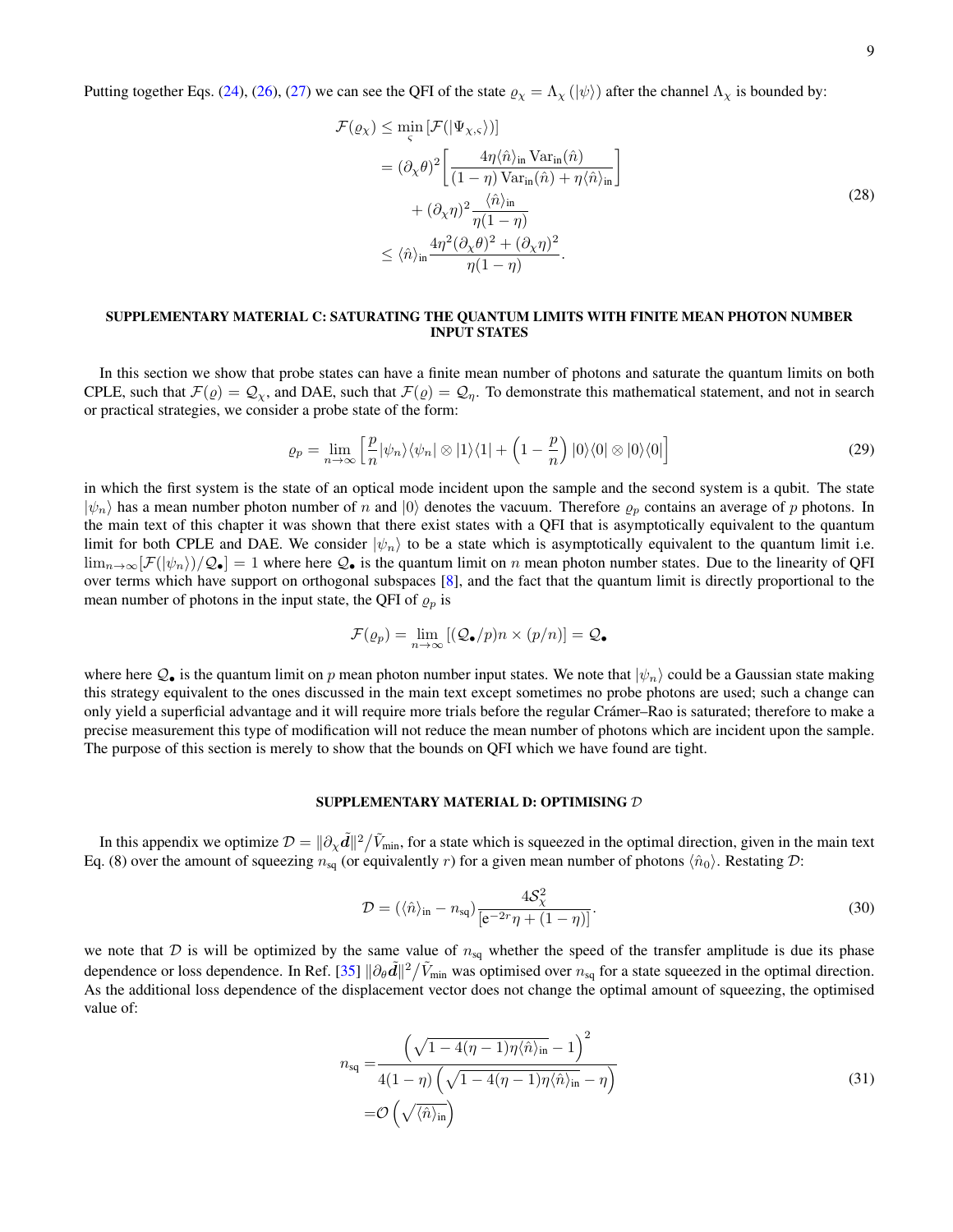Putting together Eqs. [\(24\)](#page-7-2), [\(26\)](#page-7-4), [\(27\)](#page-7-5) we can see the QFI of the state  $\varrho_{\chi} = \Lambda_{\chi} (\ket{\psi})$  after the channel  $\Lambda_{\chi}$  is bounded by:

$$
\mathcal{F}(\varrho_{\chi}) \le \min_{\varsigma} \left[ \mathcal{F}(|\Psi_{\chi,\varsigma}\rangle) \right]
$$
\n
$$
= (\partial_{\chi}\theta)^{2} \left[ \frac{4\eta \langle \hat{n} \rangle_{\text{in}} \text{Var}_{\text{in}}(\hat{n})}{(1-\eta)\text{Var}_{\text{in}}(\hat{n}) + \eta \langle \hat{n} \rangle_{\text{in}}} \right]
$$
\n
$$
+ (\partial_{\chi}\eta)^{2} \frac{\langle \hat{n} \rangle_{\text{in}}}{\eta(1-\eta)} \le \langle \hat{n} \rangle_{\text{in}} \frac{4\eta^{2} (\partial_{\chi}\theta)^{2} + (\partial_{\chi}\eta)^{2}}{\eta(1-\eta)} .
$$
\n(28)

## SUPPLEMENTARY MATERIAL C: SATURATING THE QUANTUM LIMITS WITH FINITE MEAN PHOTON NUMBER INPUT STATES

In this section we show that probe states can have a finite mean number of photons and saturate the quantum limits on both CPLE, such that  $\mathcal{F}(\rho) = \mathcal{Q}_{\chi}$ , and DAE, such that  $\mathcal{F}(\rho) = \mathcal{Q}_{\eta}$ . To demonstrate this mathematical statement, and not in search or practical strategies, we consider a probe state of the form:

$$
\varrho_p = \lim_{n \to \infty} \left[ \frac{p}{n} |\psi_n\rangle \langle \psi_n| \otimes |1\rangle \langle 1| + \left(1 - \frac{p}{n}\right) |0\rangle \langle 0| \otimes |0\rangle \langle 0| \right] \tag{29}
$$

in which the first system is the state of an optical mode incident upon the sample and the second system is a qubit. The state  $|\psi_n\rangle$  has a mean number photon number of n and  $|0\rangle$  denotes the vacuum. Therefore  $\varrho_p$  contains an average of p photons. In the main text of this chapter it was shown that there exist states with a QFI that is asymptotically equivalent to the quantum limit for both CPLE and DAE. We consider  $|\psi_n\rangle$  to be a state which is asymptotically equivalent to the quantum limit i.e.  $\lim_{n\to\infty}[\mathcal{F}(\ket{\psi_n})/Q_{\bullet}]=1$  where here  $Q_{\bullet}$  is the quantum limit on n mean photon number states. Due to the linearity of QFI over terms which have support on orthogonal subspaces [\[8\]](#page-4-8), and the fact that the quantum limit is directly proportional to the mean number of photons in the input state, the QFI of  $\rho_p$  is

$$
\mathcal{F}(\varrho_p) = \lim_{n \to \infty} \left[ (\mathcal{Q}_{\bullet}/p) n \times (p/n) \right] = \mathcal{Q}_{\bullet}
$$

where here  $Q_{\bullet}$  is the quantum limit on p mean photon number input states. We note that  $|\psi_n\rangle$  could be a Gaussian state making this strategy equivalent to the ones discussed in the main text except sometimes no probe photons are used; such a change can only yield a superficial advantage and it will require more trials before the regular Cramer–Rao is saturated; therefore to make a ´ precise measurement this type of modification will not reduce the mean number of photons which are incident upon the sample. The purpose of this section is merely to show that the bounds on QFI which we have found are tight.

#### SUPPLEMENTARY MATERIAL D: OPTIMISING D

In this appendix we optimize  $\mathcal{D} = \|\partial_\chi \tilde{d}\|^2 / \tilde{V}_{\text{min}}$ , for a state which is squeezed in the optimal direction, given in the main text Eq. (8) over the amount of squeezing  $n_{sq}$  (or equivalently r) for a given mean number of photons  $\langle \hat{n}_0 \rangle$ . Restating D:

$$
\mathcal{D} = (\langle \hat{n} \rangle_{\text{in}} - n_{\text{sq}}) \frac{4\mathcal{S}_{\chi}^2}{\left[e^{-2r}\eta + (1-\eta)\right]}.
$$
\n(30)

we note that  $D$  is will be optimized by the same value of  $n_{sq}$  whether the speed of the transfer amplitude is due its phase dependence or loss dependence. In Ref. [\[35\]](#page-5-0)  $\|\partial_\theta \tilde{d}\|^2 / \tilde{V}_{\text{min}}$  was optimised over  $n_{\text{sq}}$  for a state squeezed in the optimal direction. As the additional loss dependence of the displacement vector does not change the optimal amount of squeezing, the optimised value of:

$$
n_{\text{sq}} = \frac{\left(\sqrt{1 - 4(\eta - 1)\eta \langle \hat{n} \rangle_{\text{in}}} - 1\right)^2}{4(1 - \eta) \left(\sqrt{1 - 4(\eta - 1)\eta \langle \hat{n} \rangle_{\text{in}}} - \eta\right)}
$$
  
=  $\mathcal{O}\left(\sqrt{\langle \hat{n} \rangle_{\text{in}}}\right)$  (31)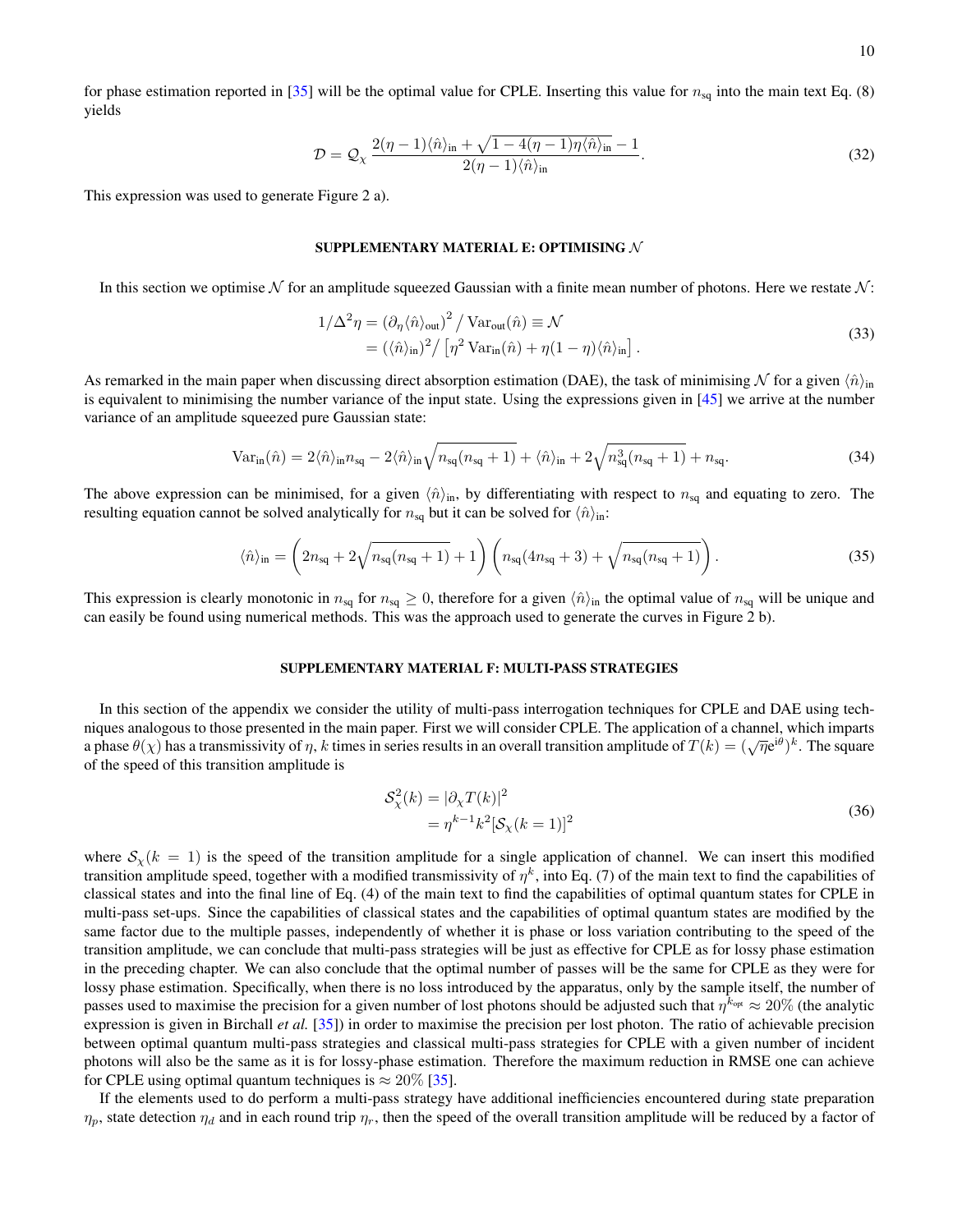$$
\mathcal{D} = \mathcal{Q}_{\chi} \frac{2(\eta - 1)\langle \hat{n} \rangle_{\text{in}} + \sqrt{1 - 4(\eta - 1)\eta \langle \hat{n} \rangle_{\text{in}}} - 1}{2(\eta - 1)\langle \hat{n} \rangle_{\text{in}}}.
$$
\n(32)

This expression was used to generate Figure 2 a).

### SUPPLEMENTARY MATERIAL E: OPTIMISING N

In this section we optimise N for an amplitude squeezed Gaussian with a finite mean number of photons. Here we restate  $N$ :

$$
1/\Delta^2 \eta = (\partial_{\eta} \langle \hat{n} \rangle_{\text{out}})^2 / \text{Var}_{\text{out}}(\hat{n}) \equiv \mathcal{N}
$$
  
=  $(\langle \hat{n} \rangle_{\text{in}})^2 / [\eta^2 \text{Var}_{\text{in}}(\hat{n}) + \eta (1 - \eta) \langle \hat{n} \rangle_{\text{in}}].$  (33)

As remarked in the main paper when discussing direct absorption estimation (DAE), the task of minimising N for a given  $\langle \hat{n} \rangle_{\text{in}}$ is equivalent to minimising the number variance of the input state. Using the expressions given in [\[45\]](#page-5-10) we arrive at the number variance of an amplitude squeezed pure Gaussian state:

$$
\text{Var}_{\text{in}}(\hat{n}) = 2\langle \hat{n} \rangle_{\text{in}} n_{\text{sq}} - 2\langle \hat{n} \rangle_{\text{in}} \sqrt{n_{\text{sq}}(n_{\text{sq}} + 1)} + \langle \hat{n} \rangle_{\text{in}} + 2\sqrt{n_{\text{sq}}^3(n_{\text{sq}} + 1)} + n_{\text{sq}}.\tag{34}
$$

The above expression can be minimised, for a given  $\langle \hat{n} \rangle$ <sub>in</sub>, by differentiating with respect to  $n_{sq}$  and equating to zero. The resulting equation cannot be solved analytically for  $n_{sq}$  but it can be solved for  $\langle \hat{n} \rangle_{\text{in}}$ :

$$
\langle \hat{n} \rangle_{\text{in}} = \left( 2n_{\text{sq}} + 2\sqrt{n_{\text{sq}}(n_{\text{sq}} + 1)} + 1 \right) \left( n_{\text{sq}}(4n_{\text{sq}} + 3) + \sqrt{n_{\text{sq}}(n_{\text{sq}} + 1)} \right). \tag{35}
$$

This expression is clearly monotonic in  $n_{sq}$  for  $n_{sq} \ge 0$ , therefore for a given  $\langle \hat{n} \rangle$ <sub>in</sub> the optimal value of  $n_{sq}$  will be unique and can easily be found using numerical methods. This was the approach used to generate the curves in Figure 2 b).

#### SUPPLEMENTARY MATERIAL F: MULTI-PASS STRATEGIES

In this section of the appendix we consider the utility of multi-pass interrogation techniques for CPLE and DAE using techniques analogous to those presented in the main paper. First we will consider CPLE. The application of a channel, which imparts a phase  $\theta(\chi)$  has a transmissivity of  $\eta$ , k times in series results in an overall transition amplitude of  $T(k) = (\sqrt{\eta}e^{i\theta})^k$ . The square of the speed of this transition amplitude is

$$
\begin{aligned} \mathcal{S}_{\chi}^2(k) &= |\partial_{\chi} T(k)|^2 \\ &= \eta^{k-1} k^2 [\mathcal{S}_{\chi}(k=1)]^2 \end{aligned} \tag{36}
$$

where  $S_{\gamma}(k = 1)$  is the speed of the transition amplitude for a single application of channel. We can insert this modified transition amplitude speed, together with a modified transmissivity of  $\eta^k$ , into Eq. (7) of the main text to find the capabilities of classical states and into the final line of Eq. (4) of the main text to find the capabilities of optimal quantum states for CPLE in multi-pass set-ups. Since the capabilities of classical states and the capabilities of optimal quantum states are modified by the same factor due to the multiple passes, independently of whether it is phase or loss variation contributing to the speed of the transition amplitude, we can conclude that multi-pass strategies will be just as effective for CPLE as for lossy phase estimation in the preceding chapter. We can also conclude that the optimal number of passes will be the same for CPLE as they were for lossy phase estimation. Specifically, when there is no loss introduced by the apparatus, only by the sample itself, the number of passes used to maximise the precision for a given number of lost photons should be adjusted such that  $\eta^{k_{\text{opt}}} \approx 20\%$  (the analytic expression is given in Birchall *et al.* [\[35\]](#page-5-0)) in order to maximise the precision per lost photon. The ratio of achievable precision between optimal quantum multi-pass strategies and classical multi-pass strategies for CPLE with a given number of incident photons will also be the same as it is for lossy-phase estimation. Therefore the maximum reduction in RMSE one can achieve for CPLE using optimal quantum techniques is  $\approx 20\%$  [\[35\]](#page-5-0).

If the elements used to do perform a multi-pass strategy have additional inefficiencies encountered during state preparation  $\eta_p$ , state detection  $\eta_d$  and in each round trip  $\eta_r$ , then the speed of the overall transition amplitude will be reduced by a factor of